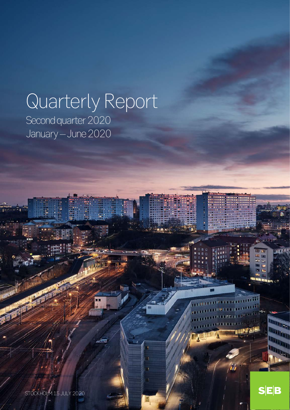# Quarterly Report

**FRU** 

Second quarter 2020 January – June 2020

STOCKHOLM 15 JULY 2020

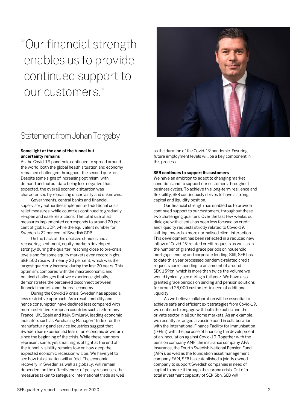"Our financial strength enables us to provide continued support to our customers."

# Statement from Johan Torgeby

#### **Some light at the end of the tunnel but uncertainty remains**

As the Covid-19 pandemic continued to spread around the world, both the global health situation and economy remained challenged throughout the second quarter. Despite some signs of increasing optimism, with demand and output data being less negative than expected, the overall economic situation was characterised by remaining uncertainty and unknowns.

Governments, central banks and financial supervisory authorities implemented additional crisis relief measures, while countries continued to gradually re-open and ease restrictions. The total size of all measures implemented corresponds to around 20 per cent of global GDP, while the equivalent number for Sweden is 22 per cent of Swedish GDP.

On the back of this decisive stimulus and a recovering sentiment, equity markets developed strongly during the quarter, reaching close to pre-crisis levels and for some equity markets even record highs. S&P 500 rose with nearly 20 per cent, which was the largest quarterly increase during the last 20 years. This optimism, compared with the macroeconomic and political challenges that we experience globally, demonstrates the perceived disconnect between financial markets and the real economy.

During the Covid-19 crisis, Sweden has applied a less restrictive approach. As a result, mobility and hence consumption have declined less compared with more restrictive European countries such as Germany, France, UK, Spain and Italy. Similarly, leading economic indicators such as Purchasing Managers' Index for the manufacturing and service industries suggest that Sweden has experienced less of an economic downturn since the beginning of the crisis. While these numbers represent some, yet small, signs of light at the end of the tunnel, visibility remains low on how deep the expected economic recession will be. We have yet to see how this situation will unfold. The economic recovery, in Sweden as well as globally, will remain dependent on the effectiveness of policy responses, the measures taken to safeguard international trade as well



as the duration of the Covid-19 pandemic. Ensuring future employment levels will be a key component in this process.

#### **SEB continues to support its customers**

We have an ambition to adapt to changing market conditions and to support our customers throughout business cycles. To achieve this long-term resilience and flexibility, SEB continuously strives to have a strong capital and liquidity position.

Our financial strength has enabled us to provide continued support to our customers, throughout these two challenging quarters. Over the last few weeks, our dialogue with clients has been less focused on credit and liquidity requests strictly related to Covid-19, shifting towards a more normalised client interaction. This development has been reflected in a reduced new inflow of Covid-19 related credit requests as well as in the number of granted grace periods on household mortgage lending and corporate lending. Still, SEB has to date this year processed pandemic-related credit requests corresponding to an amount of around SEK 139bn, which is more than twice the volume we would typically see during a full year. We have also granted grace periods on lending and pension solutions for around 28,000 customers in need of additional liquidity.

As we believe collaboration will be essential to achieve safe and efficient exit strategies from Covid-19, we continue to engage with both the public and the private sector in all our home markets. As an example, we recently arranged a vaccine bond in collaboration with the International Finance Facility for Immunisation (IFFIm) with the purpose of financing the development of an inoculation against Covid-19. Together with the pension company AMF, the insurance company AFA Insurance, the Fourth Swedish National Pension Fund (AP4), as well as the foundation asset management company FAM, SEB has established a jointly owned company to support Swedish companies in need of capital to make it through the corona crisis. Out of a total investment capacity of SEK 5bn, SEB will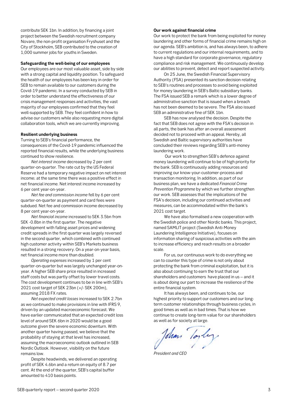contribute SEK 1bn. In addition, by financing a joint project between the Swedish recruitment company Novare, the non-profit organisation Fryshuset and the City of Stockholm, SEB contributed to the creation of 1,000 summer jobs for youths in Sweden.

#### **Safeguarding the well-being of our employees**

Our employees are our most valuable asset, side by side with a strong capital and liquidity position. To safeguard the health of our employees has been key in order for SEB to remain available to our customers during the Covid-19 pandemic. In a survey conducted by SEB in order to better understand the effectiveness of our crisis management responses and activities, the vast majority of our employees confirmed that they feel well-supported by SEB. They feel confident in how to advise our customers while also requesting more digital collaboration tools, which we are currently improving.

#### **Resilient underlying business**

Turning to SEB's financial performance, the consequences of the Covid-19 pandemic influenced the reported financial results, while the underlying business continued to show resilience.

*Net interest income* decreased by 2 per cent quarter-on-quarter. The rate cut by the US Federal Reserve had a temporary negative impact on net interest income; at the same time there was a positive effect in net financial income. Net interest income increased by 6 per cent year-on-year.

*Net fee and commission income* fell by 6 per cent quarter-on-quarter as payment and card fees were subdued. Net fee and commission income decreased by 8 per cent year-on-year.

*Net financial income* increased to SEK 3.5bn from SEK -0.8bn in the first quarter. The negative development with falling asset prices and widening credit spreads in the first quarter was largely reversed in the second quarter, which combined with continued high customer activity within SEB's Markets business resulted in a strong recovery. On a year-on-year basis, net financial income more than doubled.

*Operating expenses* increased by 1 per cent quarter-on-quarter but was largely unchanged year-onyear. A higher SEB share price resulted in increased staff costs but was partly offset by lower travel costs. The cost development continues to be in line with SEB's 2021 cost target of SEK 23bn (+/- SEK 200m), assuming 2018 FX rates.

*Net expected credit losses* increased to SEK 2.7bn as we continued to make provisions in line with IFRS 9, driven by an updated macroeconomic forecast. We have earlier communicated that an expected credit loss level of around SEK 6bn in 2020 would be a good outcome given the severe economic downturn. With another quarter having passed, we believe that the probability of staying at that level has increased, assuming the macroeconomic outlook outlined in SEB Nordic Outlook. However, visibility on the future remains low.

Despite headwinds, we delivered an operating profit of SEK 4.6bn and a return on equity of 8.7 per cent. At the end of the quarter, SEB's capital buffer amounted to 410 basis points.

#### **Our work against financial crime**

Our work to protect the bank from being exploited for money laundering and other forms of financial crime remains high on our agenda. SEB's ambition is, and has always been, to adhere to current regulations and our internal requirements, and to have a high standard for corporate governance, regulatory compliance and risk management. We continuously develop our abilities to prevent, detect and report suspected activity.

On 25 June, the Swedish Financial Supervisory Authority (FSA) presented its sanction decision relating to SEB's routines and processes to avoid being exploited for money laundering in SEB's Baltic subsidiary banks. The FSA issued SEB a remark which is a lower degree of administrative sanction that is issued when a breach has not been deemed to be severe. The FSA also issued SEB an administrative fine of SEK 1bn.

SEB has now analysed the decision. Despite the fact that SEB does not agree with the FSA's decision in all parts, the bank has after an overall assessment decided not to proceed with an appeal. Hereby, all Swedish and Baltic supervisory authorities have concluded their reviews regarding SEB's anti-money laundering work.

Our work to strengthen SEB's defence against money laundering will continue to be of high priority for the bank. SEB is continuously adding resources and improving our know-your-customer-process and transaction monitoring. In addition, as part of our business plan, we have a dedicated *Financial Crime Prevention Programme* by which we further strengthen our work. SEB assesses that the implications of the FSA's decision, including our continued activities and measures, can be accommodated within the bank's 2021 cost target.

We have also formalised a new cooperation with the Swedish police and other Nordic banks. This project, named SAMLIT project (Swedish Anti-Money Laundering Intelligence Initiative), focuses on information sharing of suspicious activities with the aim to increase efficiency and reach results on a broader scale.

For us, our continuous work to do everything we can to counter this type of crime is not only about protecting the bank from criminal exploitation, but it is also about continuing to earn the trust that our shareholders and customers have placed in us – and it is about doing our part to increase the resilience of the entire financial system.

It has always been, and continues to be, our highest priority to support our customers and our longterm customer relationships through business cycles, in good times as well as in bad times. That is how we continue to create long-term value for our shareholders as well as for society at large.

John loyly

*President and CEO*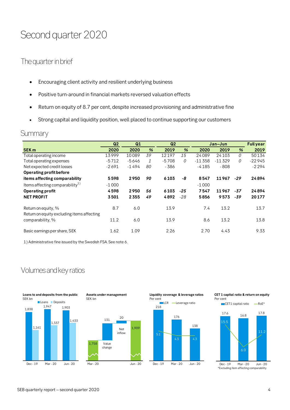# Second quarter 2020

# The quarter in brief

- Encouraging client activity and resilient underlying business
- Positive turn-around in financial markets reversed valuation effects
- Return on equity of 8.7 per cent, despite increased provisioning and administrative fine
- Strong capital and liquidity position, well placed to continue supporting our customers

# **Summary**

|                                                                   | Q <sub>2</sub> | Q1      |    | Q <sub>2</sub> |       |          | Jan-Jun  |       | <b>Full year</b> |
|-------------------------------------------------------------------|----------------|---------|----|----------------|-------|----------|----------|-------|------------------|
| <b>SEK m</b>                                                      | 2020           | 2020    | %  | 2019           | %     | 2020     | 2019     | %     | 2019             |
| Total operating income                                            | 13999          | 10089   | 39 | 12197          | 15    | 24089    | 24103    | 0     | 50134            |
| Total operating expenses                                          | $-5712$        | -5646   | 1  | $-5708$        | 0     | $-11358$ | $-11329$ | 0     | $-22945$         |
| Net expected credit losses                                        | $-2691$        | $-1494$ | 80 | $-386$         |       | $-4185$  | $-808$   |       | $-2294$          |
| Operating profit before                                           |                |         |    |                |       |          |          |       |                  |
| items affecting comparability                                     | 5598           | 2950    | 90 | 6103           | -8    | 8547     | 11967    | $-29$ | 24894            |
| Items affecting comparability $^{1)}$                             | $-1000$        |         |    |                |       | $-1000$  |          |       |                  |
| <b>Operating profit</b>                                           | 4598           | 2950    | 56 | 6103           | -25   | 7547     | 11967    | $-37$ | 24894            |
| <b>NET PROFIT</b>                                                 | 3501           | 2355    | 49 | 4892           | $-28$ | 5856     | 9573     | $-39$ | 20177            |
| Return on equity, %<br>Return on equity excluding items affecting | 8.7            | 6.0     |    | 13.9           |       | 7.4      | 13.2     |       | 13.7             |
| comparability, %                                                  | 11.2           | 6.0     |    | 13.9           |       | 8.6      | 13.2     |       | 13.8             |
| Basic earnings per share, SEK                                     | 1.62           | 1.09    |    | 2.26           |       | 2.70     | 4.43     |       | 9.33             |

1) Administrative fine issued by the Swedish FSA. See note 6.

# Volumes and key ratios







**Liquidity coverage & leverage ratios**



#### **CET 1 capital ratio & return on equity** Per cent

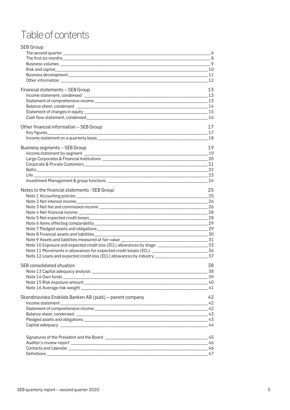# Table of contents

| SEB Group                                                |       |
|----------------------------------------------------------|-------|
|                                                          | _6    |
|                                                          | $-8$  |
|                                                          |       |
|                                                          | 10    |
|                                                          |       |
|                                                          | 12    |
| Financial statements - SEB Group                         | 13    |
|                                                          | 13    |
|                                                          |       |
|                                                          |       |
|                                                          |       |
|                                                          | 16    |
| Other financial information - SEB Group                  | 17    |
|                                                          | 17    |
|                                                          | 18    |
| Business segments - SEB Group                            | 19    |
|                                                          | 19    |
|                                                          |       |
|                                                          |       |
|                                                          |       |
| $\sim$ 23                                                |       |
|                                                          |       |
| Notes to the financial statements - SEB Group            | 25    |
|                                                          | 25    |
|                                                          |       |
|                                                          |       |
|                                                          |       |
|                                                          |       |
|                                                          |       |
|                                                          |       |
|                                                          |       |
|                                                          |       |
|                                                          |       |
|                                                          |       |
| SEB consolidated situation                               | 38    |
|                                                          | $-38$ |
|                                                          |       |
|                                                          |       |
|                                                          | 41    |
| Skandinaviska Enskilda Banken AB (publ) – parent company | 42    |
| Income statement                                         | 42    |
|                                                          | 42    |
|                                                          |       |
|                                                          |       |
|                                                          | 44    |
|                                                          | 45    |
|                                                          | 46    |
|                                                          | 46    |
|                                                          | 47    |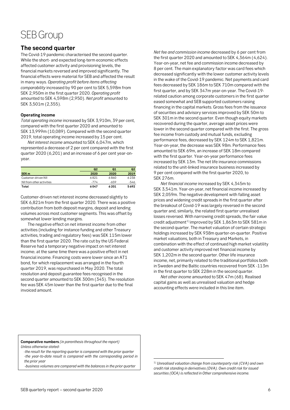# SEB Group

### <span id="page-5-0"></span>**The second quarter**

The Covid-19 pandemic characterised the second quarter. While the short- and expected long-term economic effects affected customer activity and provisioning levels, the financial markets reversed and improved significantly. The financial effects were material for SEB and affected the result in many ways. *Operating profit before items affecting comparability* increased by 90 per cent to SEK 5,598m from SEK 2,950m in the first quarter 2020. *Operating profit* amounted to SEK 4,598m (2,950). *Net profit* amounted to SEK 3,501m (2,355).

#### **Operating income**

*Total operating income* increased by SEK 3,910m, 39 per cent, compared with the first quarter 2020 and amounted to SEK 13,999m (10,089). Compared with the second quarter 2019, total operating income increased by 15 per cent.

*Net interest income* amounted to SEK 6,047m, which represented a decrease of 2 per cent compared with the first quarter 2020 (6,201) and an increase of 6 per cent year-onyear.

|                           | Q <sub>2</sub> | Q <sub>1</sub> | Q <sub>2</sub> |
|---------------------------|----------------|----------------|----------------|
| SEK <sub>m</sub>          | 2020           | 2020           | 2019           |
| Customer-driven NII       | 6821           | 6860           | 6238           |
| NII from other activities | $-774$         | $-659$         | $-546$         |
| Total                     | 6047           | 6201           | 5692           |

Customer-driven net interest income decreased slightly to SEK 6,821m from the first quarter 2020. There was a positive contribution from both deposit margins, deposit and lending volumes across most customer segments. This was offset by somewhat lower lending margins.

The negative effect on net interest income from other activities (including for instance funding and other Treasury activities, trading and regulatory fees) was SEK 115m lower than the first quarter 2020. The rate cut by the US Federal Reserve had a temporary negative impact on net interest income; at the same time there was a positive effect in net financial income. Financing costs were lower since an AT1 bond, for which replacement was arranged in the fourth quarter 2019, was repurchased in May 2020. The total resolution and deposit guarantee fees recognised in the second quarter amounted to SEK 300m (345). The resolution fee was SEK 45m lower than the first quarter due to the final invoiced amount.

*Net fee and commission income* decreased by 6 per cent from the first quarter 2020 and amounted to SEK 4,364m (4,624). Year-on-year, net fee and commission income decreased by 8 per cent. The main explanatory factor was card fees which decreased significantly with the lower customer activity levels in the wake of the Covid-19 pandemic. Net payments and card fees decreased by SEK 186m to SEK 710m compared with the first quarter, and by SEK 347m year-on-year. The Covid-19 related caution among corporate customers in the first quarter eased somewhat and SEB supported customers raising financing in the capital markets. Gross fees from the issuance of securities and advisory services improved by SEK 50m to SEK 301m in the second quarter. Even though equity markets recovered during the quarter, average asset prices were lower in the second quarter compared with the first. The gross fee income from custody and mutual funds, excluding performance fees, decreased by SEK 124m to SEK 1,821m. Year-on-year, the decrease was SEK 98m. Performance fees amounted to SEK 69m, an increase of SEK 18m compared with the first quarter. Year-on-year performance fees increased by SEK 13m. The net life insurance commissions related to the unit-linked insurance business increased by 9 per cent compared with the first quarter 2020, to SEK 276m.

*Net financial income* increased by SEK 4,345m to SEK 3,541m. Year-on-year, net financial income increased by SEK 2,059m. The negative development with falling asset prices and widening credit spreads in the first quarter after the breakout of Covid-19 was largely reversed in the second quarter and, similarly, the related first quarter unrealised losses reversed. With narrowing credit spreads, the fair value credit adjustment<sup>[1](#page-5-1))</sup> improved by SEK  $1,863$ m to SEK 581m in the second quarter. The market valuation of certain strategic holdings increased by SEK 938m quarter-on-quarter. Positive market valuations, both in Treasury and Markets, in combination with the effect of continued high market volatility and customer activity improved net financial income by SEK 1,202m in the second quarter. Other life insurance income, net, primarily related to the traditional portfolios both in Sweden and the Baltic countries recovered from SEK -113m in the first quarter to SEK 228m in the second quarter.

*Net other income* amounted to SEK 47m (68). Realised capital gains as well as unrealised valuation and hedge accounting effects were included in this line item.

**Comparative numbers** *(in parenthesis throughout the report) Unless otherwise stated:*

 *-the result for the reporting quarter is compared with the prior quarter -the year-to-date result is compared with the corresponding period in the prior year*

<span id="page-5-1"></span> *-business volumes are compared with the balances in the prior quarter*

 <sup>1</sup>*) Unrealised valuation change from counterparty risk (CVA) and own credit risk standing in derivatives (DVA). Own credit risk for issued securities (OCA) is reflected in Other comprehensive income.*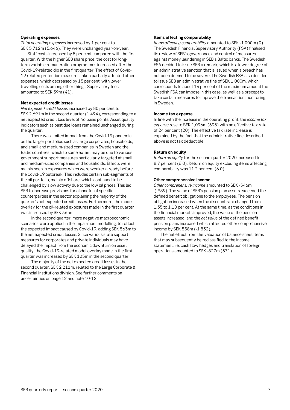#### **Operating expenses**

*Total operating expenses* increased by 1 per cent to SEK 5,712m (5,646). They were unchanged year-on-year.

Staff costs increased by 5 per cent compared with the first quarter. With the higher SEB share price, the cost for longterm variable remuneration programmes increased after the Covid-19-related dip in the first quarter. The effect of Covid-19 related protection measures taken partially affected other expenses, which decreased by 15 per cent, with lower travelling costs among other things. Supervisory fees amounted to SEK 39m (41).

#### **Net expected credit losses**

*Net expected credit losses* increased by 80 per cent to SEK 2,691m in the second quarter (1,494), corresponding to a net expected credit loss level of 46 basis points. Asset quality indicators such as past due loans remained unchanged during the quarter.

There was limited impact from the Covid-19 pandemic on the larger portfolios such as large corporates, households, and small and medium-sized companies in Sweden and the Baltic countries, which to some extent may be due to various government support measures particularly targeted at small and medium-sized companies and households. Effects were mainly seen in exposures which were weaker already before the Covid-19 outbreak. This includes certain sub-segments of the oil portfolio, mainly offshore, which continued to be challenged by slow activity due to the low oil prices. This led SEB to increase provisions for a handful of specific counterparties in the sector explaining the majority of the quarter's net expected credit losses. Furthermore, the model overlay for the oil-related exposures made in the first quarter was increased by SEK 365m.

In the second quarter, more negative macroeconomic scenarios were applied in the impairment modelling, to reflect the expected impact caused by Covid-19, adding SEK 563m to the net expected credit losses. Since various state support measures for corporates and private individuals may have delayed the impact from the economic downturn on asset quality, the Covid-19-related model overlay made in the first quarter was increased by SEK 105m in the second quarter.

The majority of the net expected credit losses in the second quarter, SEK 2,211m, related to the Large Corporate & Financial Institutions division. See further comments on uncertainties on page 12 and note 10-12.

#### **Items affecting comparability**

*Items affecting comparability* amounted to SEK -1,000m (0). The Swedish Financial Supervisory Authority (FSA) finalised its review of SEB's governance and control of measures against money laundering in SEB's Baltic banks. The Swedish FSA decided to issue SEB a remark, which is a lower degree of an administrative sanction that is issued when a breach has not been deemed to be severe. The Swedish FSA also decided to issue SEB an administrative fine of SEK 1,000m, which corresponds to about 14 per cent of the maximum amount the Swedish FSA can impose in this case, as well as a precept to take certain measures to improve the transaction monitoring in Sweden.

#### **Income tax expense**

In line with the increase in the operating profit, the *income tax expense* rose to SEK 1,096m (595) with an effective tax rate of 24 per cent (20). The effective tax rate increase is explained by the fact that the administrative fine described above is not tax deductible.

#### **Return on equity**

*Return on equity* for the second quarter 2020 increased to 8.7 per cent (6.0). Return on equity excluding items affecting comparability was 11.2 per cent (6.0).

#### **Other comprehensive income**

*Other comprehensive income* amounted to SEK -546m (-989). The value of SEB's pension plan assets exceeded the defined benefit obligations to the employees. The pension obligation increased when the discount rate changed from 1.35 to 1.10 per cent. At the same time, as the conditions in the financial markets improved, the value of the pension assets increased, and the *net value* of the defined benefit pension plans increased which affected other comprehensive income by SEK 558m (-1,832).

The net effect from the valuation of balance sheet items that may subsequently be reclassified to the income statement, i.e. cash flow hedges and translation of foreign operations amounted to SEK -827m (571).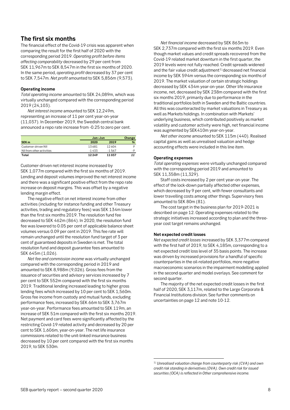## <span id="page-7-0"></span>**The first six months**

The financial effect of the Covid-19 crisis was apparent when comparing the result for the first half of 2020 with the corresponding period 2019. *Operating profit before items affecting comparability* decreased by 29 per cent from SEK 11,967m to SEK 8,547m in the first six months of 2020. In the same period, *operating profit* decreased by 37 per cent to SEK 7,547m. *Net profit* amounted to SEK 5,856m (9,573).

#### **Operating income**

*Total operating income* amounted to SEK 24,089m, which was virtually unchanged compared with the corresponding period 2019 (24,103).

*Net interest income* amounted to SEK 12,249m, representing an increase of 11 per cent year-on-year (11,037). In December 2019, the Swedish central bank announced a repo rate increase from -0.25 to zero per cent.

|                           |         | Jan-Jun  |     |  |  |
|---------------------------|---------|----------|-----|--|--|
| SEK <sub>m</sub>          | 2020    | 2019     | %   |  |  |
| Customer-driven NII       | 13681   | 12604    |     |  |  |
| NII from other activities | $-1433$ | $-1.567$ | - 9 |  |  |
| Total                     | 12249   | 11037    | 11  |  |  |

Customer-driven net interest income increased by SEK 1,077m compared with the first six months of 2019. Lending and deposit volumes improved the net interest income and there was a significant positive effect from the repo rate increase on deposit margins. This was offset by a negative lending margin effect.

The negative effect on net interest income from other activities (including for instance funding and other Treasury activities, trading and regulatory fees) was SEK 134m lower than the first six months 2019. The resolution fund fee decreased to SEK 462m (864). In 2020, the resolution fund fee was lowered to 0.05 per cent of applicable balance sheet volumes versus 0.09 per cent in 2019. This fee rate will remain unchanged until the resolution fund target of 3 per cent of guaranteed deposits in Sweden is met. The total resolution fund and deposit guarantee fees amounted to SEK 645m (1,026).

<span id="page-7-1"></span>*Net fee and commission income* was virtually unchanged compared with the corresponding period in 2019 and amounted to SEK 8,988m (9,026). Gross fees from the issuance of securities and advisory services increased by 7 per cent to SEK 552m compared with the first six months 2019. Traditional lending increased leading to higher gross lending fees which increased by 10 per cent to SEK 1,560m. Gross fee income from custody and mutual funds, excluding performance fees, increased by SEK 66m to SEK 3,767m year-on-year. Performance fees amounted to SEK 119m, an increase of SEK 51m compared with the first six months 2019. Net payment and card fees were significantly affected by the restricting Covid-19 related activity and decreased by 20 per cent to SEK 1,606m, year-on-year. The net life insurance commissions related to the unit-linked insurance business decreased by 10 per cent compared with the first six months 2019, to SEK 530m.

*Net financial income* decreased by SEK 863m to SEK 2,737m compared with the first six months 2019. Even though market values and credit spreads recovered from the Covid-19 related market downturn in the first quarter, the 2019 levels were not fully reached. Credit spreads widened and the fair value credit adjustment $1$ ) decreased net financial income by SEK 594m versus the corresponding six months of 2019. The market valuation of certain strategic holdings decreased by SEK 434m year-on-year. Other life insurance income, net, decreased by SEK 238m compared with the first six months 2019, primarily due to performance in the traditional portfolios both in Sweden and the Baltic countries. All this was counteracted by market valuations in Treasury as well as Markets holdings. In combination with Markets' underlying business, which contributed positively as market volatility and customer activity were high, net financial income was augmented by SEK410m year-on-year.

*Net other income* amounted to SEK 115m (440). Realised capital gains as well as unrealised valuation and hedge accounting effects were included in this line item.

#### **Operating expenses**

*Total operating expenses* were virtually unchanged compared with the corresponding period 2019 and amounted to SEK 11,358m (11,329).

Staff costs increased by 2 per cent year-on-year. The effect of the lock-down partially affected other expenses, which decreased by 9 per cent, with fewer consultants and lower travelling costs among other things. Supervisory fees amounted to SEK 80m (81).

The cost target in the business plan for 2019-2021 is described on page 12. Operating expenses related to the strategic initiatives increased according to plan and the threeyear cost target remains unchanged.

#### **Net expected credit losses**

*Net expected credit losses* increased by SEK 3,377m compared with the first half of 2019, to SEK 4,185m, corresponding to a net expected credit loss level of 35 basis points. The increase was driven by increased provisions for a handful of specific counterparties in the oil-related portfolios, more negative macroeconomic scenarios in the impairment modelling applied in the second quarter and model overlays. See comment for second quarter.

The majority of the net expected credit losses in the first half of 2020, SEK 3,117m, related to the Large Corporate & Financial Institutions division. See further comments on uncertainties on page 12 and note 10-12.

 <sup>1</sup>*) Unrealised valuation change from counterparty risk (CVA) and own credit risk standing in derivatives (DVA). Own credit risk for issued securities (OCA) is reflected in Other comprehensive income.*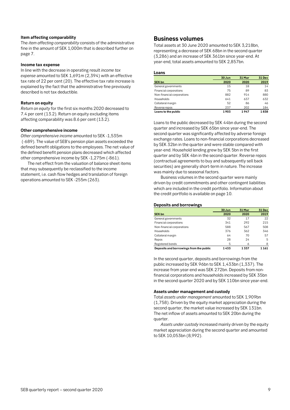#### **Item affecting comparability**

The *item affecting comparability* consists of the administrative fine in the amount of SEK 1,000m that is described further on page 7.

#### **Income tax expense**

In line with the decrease in operating result *income tax expense* amounted to SEK 1,691m (2,394) with an effective tax rate of 22 per cent (20). The effective tax rate increase is explained by the fact that the administrative fine previously described is not tax deductible.

#### **Return on equity**

*Return on equity* for the first six months 2020 decreased to 7.4 per cent (13.2). Return on equity excluding items affecting comparability was 8.6 per cent (13.2).

#### **Other comprehensive income**

*Other comprehensive income* amounted to SEK -1,535m (-689). The value of SEB's pension plan assets exceeded the defined benefit obligations to the employees. The net value of the defined benefit pension plans decreased which affected other comprehensive income by SEK -1,275m (-861).

The net effect from the valuation of balance sheet items that may subsequently be reclassified to the income statement, i.e. cash flow hedges and translation of foreign operations amounted to SEK -255m (263).

#### <span id="page-8-0"></span>**Business volumes**

Total assets at 30 June 2020 amounted to SEK 3,218bn, representing a decrease of SEK 68bn in the second quarter (3,286) and an increase of SEK 361bn since year-end. At year-end, total assets amounted to SEK 2,857bn.

#### **Loans**

|                            | 30 Jun | 31 Mar | 31 Dec |
|----------------------------|--------|--------|--------|
| <b>SEK bn</b>              | 2020   | 2020   | 2019   |
| General governments        | 15     | 18     | 14     |
| Financial corporations     | 75     | 89     | 83     |
| Non-financial corporations | 882    | 914    | 880    |
| Households                 | 641    | 637    | 632    |
| Collateral margin          | 52     | 86     | 46     |
| Reverse repos              | 237    | 202    | 184    |
| Loans to the public        | 1903   | 1947   | 1838   |

Loans to the public decreased by SEK 44bn during the second quarter and increased by SEK 65bn since year-end. The second quarter was significantly affected by adverse foreign exchange rates. Loans to non-financial corporations decreased by SEK 32bn in the quarter and were stable compared with year-end. Household lending grew by SEK 5bn in the first quarter and by SEK 4bn in the second quarter. Reverse repos (contractual agreements to buy and subsequently sell back securities) are generally short-term in nature. The increase was mainly due to seasonal factors.

Business volumes in the second quarter were mainly driven by credit commitments and other contingent liabilities which are included in the credit portfolio. Information about the credit portfolio is available on page 10.

#### **Deposits and borrowings**

|                                         | 30 Jun | 31 Mar | 31 Dec |
|-----------------------------------------|--------|--------|--------|
| <b>SEK bn</b>                           | 2020   | 2020   | 2019   |
| General governments                     | 32     | 17     | 22     |
| Financial corporations                  | 341    | 292    | 215    |
| Non-financial corporations              | 588    | 567    | 508    |
| Households                              | 376    | 362    | 346    |
| Collateral margin                       | 64     | 70     | 57     |
| Repos                                   | 28     | 24     | 5      |
| Registered bonds                        | 5      | 6      | 8      |
| Deposits and borrowings from the public | 1433   | 1337   | 1161   |

In the second quarter, deposits and borrowings from the public increased by SEK 96bn to SEK 1,433bn (1,337). The increase from year-end was SEK 272bn. Deposits from nonfinancial corporations and households increased by SEK 35bn in the second quarter 2020 and by SEK 110bn since year-end.

#### **Assets under management and custody**

Total *assets under management* amounted to SEK 1,909bn (1,758). Driven by the equity market appreciation during the second quarter, the market value increased by SEK 131bn. The net inflow of assets amounted to SEK 20bn during the quarter.

*Assets under custody* increased mainly driven by the equity market appreciation during the second quarter and amounted to SEK 10,053bn (8,992).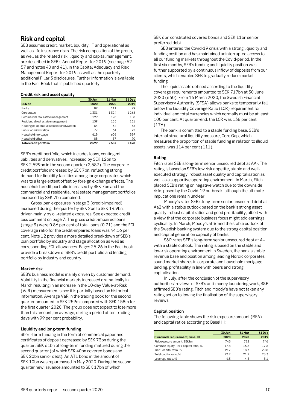# <span id="page-9-0"></span>**Risk and capital**

SEB assumes credit, market, liquidity, IT and operational as well as life insurance risks. The risk composition of the group, as well as the related risk, liquidity and capital management, are described in SEB's Annual Report for 2019 (see page 52- 57 and notes 40 and 41), in the Capital Adequacy and Risk Management Report for 2019 as well as the quarterly additional Pillar 3 disclosures. Further information is available in the Fact Book that is published quarterly.

#### **Credit risk and asset quality**

|                                          | 30 Jun | 31 Mar | 31 Dec |
|------------------------------------------|--------|--------|--------|
| <b>SEK bn</b>                            | 2020   | 2020   | 2019   |
| <b>Banks</b>                             | 89     | 111    | 99     |
| Corporates                               | 1331   | 1324   | 1268   |
| Commercial real estate management        | 199    | 196    | 188    |
| Residential real estate management       | 139    | 135    | 131    |
| Housing co-operative associations Sweden | 64     | 64     | 63     |
| Public administration                    | 77     | 64     | 72     |
| Household mortgage                       | 615    | 606    | 589    |
| Household other                          | 85     | 87     | 90     |
| Total credit portfolio                   | 2599   | 2587   | 2498   |

SEB's credit portfolio, which includes loans, contingent liabilities and derivatives, increased by SEK 12bn to SEK 2,599bn in the second quarter (2,587). The corporate credit portfolio increased by SEK 7bn, reflecting strong demand for liquidity facilities among large corporates which was to a large extent offset by foreign exchange effects. The household credit portfolio increased by SEK 7bn and the commercial and residential real estate management portfolios increased by SEK 7bn combined.

Gross loan exposures in stage 3 (credit-impaired) increased during the quarter by SEK 2bn to SEK 14.9bn, driven mainly by oil-related exposures. See expected credit loss comment on page 7. The gross credit-impaired loans (stage 3) were 0.86 per cent of total loans (0.71) and the ECL coverage ratio for the credit-impaired loans was 44.16 per cent. Note 12 provides a more detailed breakdown of SEB's loan portfolio by industry and stage allocation as well as corresponding ECL allowances. Pages 25-26 in the Fact book provide a breakdown of SEB's credit portfolio and lending portfolio by industry and country.

#### **Market risk**

SEB's business model is mainly driven by customer demand. Volatility in the financial markets increased dramatically in March resulting in an increase in the 10-day Value-at-Risk (VaR) measurement since it is partially based on historical information. Average VaR in the trading book for the second quarter amounted to SEK 259m compared with SEK 158m for the first quarter 2020. The group does not expect to lose more than this amount, on average, during a period of ten trading days with 99 per cent probability.

#### **Liquidity and long-term funding**

Short-term funding in the form of commercial paper and certificates of deposit decreased by SEK 73bn during the quarter. SEK 61bn of long-term funding matured during the second quarter (of which SEK 40bn covered bonds and SEK 20bn senior debt). An AT1 bond in the amount of SEK 10bn was repurchased in May 2020. During the second quarter new issuance amounted to SEK 17bn of which

SEK 6bn constituted covered bonds and SEK 11bn senior preferred debt.

SEB entered the Covid-19 crisis with a strong liquidity and funding position and has maintained uninterrupted access to all our funding markets throughout the Covid-period. In the first six months, SEB's funding and liquidity position was further supported by a continuous inflow of deposits from our clients, which enabled SEB to gradually reduce market funding.

The liquid assets defined according to the liquidity coverage requirements amounted to SEK 717bn at 30 June 2020 (660). From 16 March 2020, the Swedish Financial Supervisory Authority (SFSA) allows banks to temporarily fall below the Liquidity Coverage Ratio (LCR) requirement for individual and total currencies which normally must be at least 100 per cent. At quarter-end, the LCR was 138 per cent (176).

The bank is committed to a stable funding base. SEB's internal structural liquidity measure, Core Gap, which measures the proportion of stable funding in relation to illiquid assets, was 114 per cent (111).

#### **Rating**

Fitch rates SEB's long-term senior unsecured debt at AA-. The rating is based on SEB's low risk appetite, stable and wellexecuted strategy, robust asset quality and capitalisation as well as a supportive operating environment. In March, Fitch placed SEB's rating on negative watch due to the downside risks posed by the Covid-19 outbreak, although the ultimate implications remain unclear.

Moody's rates SEB's long-term senior unsecured debt at Aa2 with a stable outlook based on the bank's strong asset quality, robust capital ratios and good profitability, albeit with a view that the corporate business focus might add earnings cyclicality. In March, Moody's affirmed the stable outlook of the Swedish banking system due to the strong capital position and capital generation capacity of banks.

S&P rates SEB's long-term senior unsecured debt at A+ with a stable outlook. The rating is based on the stable and low-risk operating environment in Sweden, the bank's stable revenue base and position among leading Nordic corporates, sound market shares in corporate and household mortgage lending, profitability in line with peers and strong capitalisation.

In July, after the conclusion of the supervisory authorities' reviews of SEB's anti-money laundering work, S&P affirmed SEB's rating. Fitch and Moody's have not taken any rating action following the finalisation of the supervisory reviews.

#### **Capital position**

The following table shows the risk exposure amount (REA) and capital ratios according to Basel III:

|                                       | 30 Jun | 31 Mar | 31 Dec |
|---------------------------------------|--------|--------|--------|
| Own funds requirement, Basel III      | 2020   | 2020   | 2019   |
| Risk exposure amount, SEK bn          | 745    | 782    | 746    |
| Common Equity Tier 1 capital ratio, % | 17.8   | 16.8   | 17.6   |
| Tier 1 capital ratio, %               | 19.7   | 18.7   | 20.8   |
| Total capital ratio, %                | 22.2   | 21.2   | 23.3   |
| Leverage ratio, %                     | 4.3    | 4.3    | 5.1    |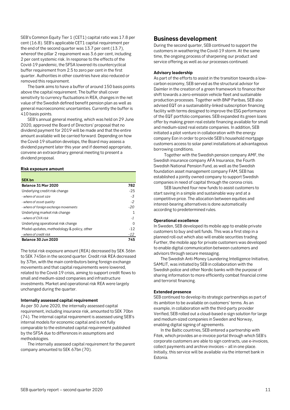SEB's Common Equity Tier 1 (CET1) capital ratio was 17.8 per cent (16.8). SEB's applicable CET1 capital requirement per the end of the second quarter was 13.7 per cent (13.7), whereof the pillar 2 requirement was 3.6 per cent, including 2 per cent systemic risk. In response to the effects of the Covid-19 pandemic, the SFSA lowered its countercyclical buffer requirement from 2.5 to zero per cent in the first quarter. Authorities in other countries have also reduced or removed this requirement.

The bank aims to have a buffer of around 150 basis points above the capital requirement. The buffer shall cover sensitivity to currency fluctuations in REA, changes in the net value of the Swedish defined benefit pension plan as well as general macroeconomic uncertainties. Currently the buffer is 410 basis points.

SEB's annual general meeting, which was held on 29 June 2020, approved the Board of Directors' proposal that no dividend payment for 2019 will be made and that the entire amount available will be carried forward. Depending on how the Covid-19 situation develops, the Board may assess a dividend payment later this year and if deemed appropriate, convene an extraordinary general meeting to present a dividend proposal.

#### **Risk exposure amount**

| <b>SEK bn</b>                              |       |
|--------------------------------------------|-------|
| Balance 31 Mar 2020                        | 782   |
| Underlying credit risk change              | $-25$ |
| - where of asset size                      | -3    |
| - where of asset quality                   | $-2$  |
| - where of foreign exchange movements      | $-20$ |
| Underlying market risk change              |       |
| - where of CVA risk                        | $-1$  |
| Underlying operational risk change         | O     |
| Model updates, methodology & policy, other | $-12$ |
| - where of credit risk                     | $-12$ |
| Balance 30 Jun 2020                        | 745   |

The total risk exposure amount (REA) decreased by SEK 36bn to SEK 745bn in the second quarter. Credit risk REA decreased by 37bn, with the main contributors being foreign exchange movements and that capital requirements were lowered, related to the Covid-19 crisis, aiming to support credit flows to small and medium-sized companies and infrastructure investments. Market and operational risk REA were largely unchanged during the quarter.

#### **Internally assessed capital requirement**

As per 30 June 2020, the internally assessed capital requirement, including insurance risk, amounted to SEK 70bn (74). The internal capital requirement is assessed using SEB's internal models for economic capital and is not fully comparable to the estimated capital requirement published by the SFSA due to differences in assumptions and methodologies.

The internally assessed capital requirement for the parent company amounted to SEK 67bn (70).

# <span id="page-10-0"></span>**Business development**

During the second quarter, SEB continued to support the customers in weathering the Covid-19 storm. At the same time, the ongoing process of sharpening our product and service offering as well as our processes continued.

#### **Advisory leadership**

As part of the efforts to assist in the transition towards a lowcarbon economy, SEB served as the structural advisor for Daimler in the creation of a green framework to finance their shift towards a zero-emission vehicle fleet and sustainable production processes. Together with BNP Paribas, SEB also advised EQT on a sustainability-linked subscription financing facility with terms designed to improve the ESG performance of the EQT portfolio companies. SEB expanded its green loans offer by making green real estate financing available for small and medium-sized real estate companies. In addition, SEB initiated a pilot venture in collaboration with the energy company Eon in order to provide SEB's household mortgage customers access to solar panel installations at advantageous borrowing conditions.

Together with the Swedish pension company AMF, the Swedish insurance company AFA Insurance, the Fourth Swedish National Pension Fund, as well as the Swedish foundation asset management company FAM, SEB has established a jointly owned company to support Swedish companies in need of capital through the corona crisis.

SEB launched four new funds to assist customers to start saving in a simple and sustainable way and at a competitive price. The allocation between equities and interest-bearing alternatives is done automatically according to predetermined rules.

#### **Operational excellence**

In Sweden, SEB developed its mobile app to enable private customers to buy and sell funds. This was a first step in a planned roll-out which also will enable securities trading. Further, the mobile app for private customers was developed to enable digital communication between customers and advisors through secure messaging.

The Swedish Anti-Money Laundering Intelligence Initiative, SAMLIT, was initiated by SEB in collaboration with the Swedish police and other Nordic banks with the purpose of sharing information to more efficiently combat financial crime and terrorist financing.

#### **Extended presence**

SEB continued to develop its strategic partnerships as part of its ambition to be available on customers' terms. As an example, in collaboration with the third-party provider Verified, SEB rolled out a cloud-based e-sign solution for large and medium-sized companies in Sweden and Norway, enabling digital signing of agreements.

In the Baltic countries, SEB entered a partnership with Fitek, which provides an e-invoice portal through which SEB's corporate customers are able to sign contracts, use e-invoices, collect payments and archive invoices – all in one place. Initially, this service will be available via the internet bank in Estonia.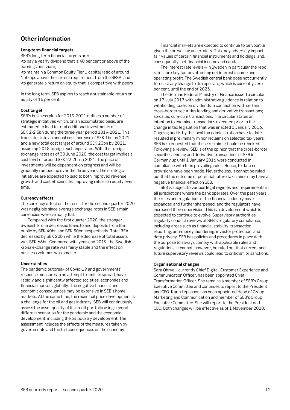# <span id="page-11-0"></span>**Other information**

#### **Long-term financial targets**

SEB's long-term financial targets are:

-to pay a yearly dividend that is 40 per cent or above of the earnings per share,

-to maintain a Common Equity Tier 1 capital ratio of around 150 bps above the current requirement from the SFSA, and -to generate a return on equity that is competitive with peers.

In the long term, SEB aspires to reach a sustainable return on equity of 15 per cent.

#### **Cost target**

SEB's business plan for 2019-2021 defines a number of strategic initiatives which, on an accumulated basis, are estimated to lead to total additional investments of SEK 2-2.5bn during the three-year period 2019-2021. This translates into an annual cost increase of SEK 1bn by 2021, and a new total cost target of around SEK 23bn by 2021, assuming 2018 foreign exchange rates. With the foreign exchange rates as of 30 June 2020, the cost target implies a cost level of around SEK 23.2bn in 2021. The pace of investments will be dependent on progress and will be gradually ramped up over the three years. The strategic initiatives are expected to lead to both improved revenue growth and cost efficiencies, improving return on equity over time.

#### **Currency effects**

The currency effect on the result for the second quarter 2020 was negligible since average exchange rates in SEB's main currencies were virtually flat.

Compared with the first quarter 2020, the stronger Swedish krona decreased loans to and deposits from the public by SEK 40bn and SEK 30bn, respectively. Total REA decreased by SEK 20bn while the decrease of total assets was SEK 66bn. Compared with year-end 2019, the Swedish krona exchange rate was fairly stable and the effect on business volumes was smaller.

#### **Uncertainties**

The pandemic outbreak of Covid-19 and governments' response measures in an attempt to limit its spread, have rapidly and significantly affected societies, economies and financial markets globally. The negative financial and economic consequences may be extensive in SEB's home markets. At the same time, the recent oil price development is a challenge for the oil and gas industry. SEB will continuously assess the asset quality of its credit portfolio using several different scenarios for the pandemic and the economic development, including the oil industry development. The assessment includes the effects of the measures taken by governments and the full consequences on the economy.

Financial markets are expected to continue to be volatile given the prevailing uncertainty. This may adversely impact fair values of certain financial instruments and holdings, and, consequently, net financial income and capital.

The interest rate levels – in Sweden in particular the repo rate – are key factors affecting net interest income and operating profit. The Swedish central bank does not currently forecast any change to its repo rate, which is currently zero per cent, until the end of 2023.

The German Federal Ministry of Finance issued a circular on 17 July 2017 with administrative guidance in relation to withholding taxes on dividends in connection with certain cross-border securities lending and derivative transactions; so-called cum-cum transactions. The circular states an intention to examine transactions executed prior to the change in tax legislation that was enacted 1 January 2016. Ongoing audits by the local tax administration have to date resulted in preliminary minor reclaims on selected tax years. SEB has requested that these reclaims should be revoked. Following a review, SEB is of the opinion that the cross-border securities lending and derivative transactions of SEB in Germany up until 1 January 2016 were conducted in compliance with then prevailing rules. Hence, to date no provisions have been made. Nevertheless, it cannot be ruled out that the outcome of potential future tax claims may have a negative financial effect on SEB.

SEB is subject to various legal regimes and requirements in all jurisdictions where the bank operates. Over the past years, the rules and regulations of the financial industry have expanded and further sharpened, and the regulators have increased their supervision. This is a development which is expected to continue to evolve. Supervisory authorities regularly conduct reviews of SEB's regulatory compliance, including areas such as financial stability, transaction reporting, anti-money laundering, investor protection, and data privacy. SEB has policies and procedures in place with the purpose to always comply with applicable rules and regulations. It cannot, however, be ruled out that current and future supervisory reviews could lead to criticism or sanctions.

#### **Organisational changes**

Sara Öhrvall, currently Chief Digital, Customer Experience and Communication Officer, has been appointed Chief Transformation Officer. She remains a member of SEB's Group Executive Committee and continues to report to the President and CEO. Karin Lepasoon has been appointed Head of Group Marketing and Communication and member of SEB's Group Executive Committee. She will report to the President and CEO. Both changes will be effective as of 1 November 2020.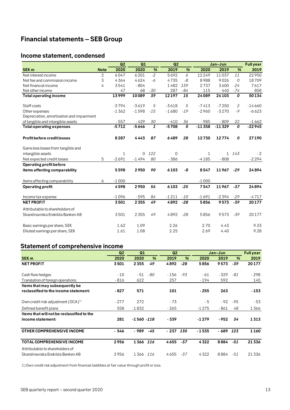# <span id="page-12-3"></span><span id="page-12-0"></span>**Financial statements – SEB Group**

# <span id="page-12-1"></span>**Income statement, condensed**

|                                           |                | Q2           | Q1       |       | Q2      |       |              | Jan-Jun      |               | <b>Full year</b> |
|-------------------------------------------|----------------|--------------|----------|-------|---------|-------|--------------|--------------|---------------|------------------|
| <b>SEK m</b>                              | <b>Note</b>    | 2020         | 2020     | %     | 2019    | %     | 2020         | 2019         | $\frac{9}{6}$ | 2019             |
| Net interest income                       | $\overline{2}$ | 6047         | 6201     | $-2$  | 5692    | 6     | 12249        | 11037        | 11            | 22950            |
| Net fee and commission income             | 3              | 4364         | 4624     | $-6$  | 4735    | -8    | 8988         | 9026         | 0             | 18709            |
| Net financial income                      | 4              | 3541         | $-804$   |       | 1482    | 139   | 2737         | 3600         | $-24$         | 7617             |
| Net other income                          |                | 47           | 68       | $-30$ | 287     | -84   | 115          | 440          | $-74$         | 858              |
| <b>Total operating income</b>             |                | 13999        | 10089    | 39    | 12197   | 15    | 24089        | 24103        | 0             | 50134            |
| Staff costs                               |                | $-3794$      | $-3619$  | 5     | $-3618$ | 5     | $-7413$      | $-7250$      | 2             | $-14660$         |
| Other expenses                            |                | $-1362$      | $-1598$  | $-15$ | $-1680$ | $-19$ | $-2960$      | $-3270$      | $-9$          | $-6623$          |
| Depreciation, amortisation and impairment |                |              |          |       |         |       |              |              |               |                  |
| of tangible and intangible assets         |                | $-557$       | $-429$   | 30    | $-410$  | 36    | $-985$       | $-809$       | 22            | $-1662$          |
| <b>Total operating expenses</b>           |                | $-5712$      | $-5646$  | 1     | $-5708$ | 0     | $-11358$     | $-11329$     | 0             | $-22945$         |
| <b>Profit before credit losses</b>        |                | 8287         | 4443     | 87    | 6489    | 28    | 12730        | 12774        | 0             | 27190            |
| Gains less losses from tangible and       |                |              |          |       |         |       |              |              |               |                  |
| intangible assets                         |                | $\mathbf{1}$ | $\Omega$ | 122   | 0       |       | $\mathbf{1}$ | $\mathbf{1}$ | 143           | $-2$             |
| Net expected credit losses                | 5              | $-2691$      | $-1494$  | 80    | $-386$  |       | $-4185$      | $-808$       |               | $-2294$          |
| Operating profit before                   |                |              |          |       |         |       |              |              |               |                  |
| items affecting comparability             |                | 5598         | 2950     | 90    | 6103    | -8    | 8547         | 11967        | $-29$         | 24894            |
| Items affecting comparability             | 6              | $-1000$      |          |       |         |       | $-1000$      |              |               |                  |
| Operating profit                          |                | 4598         | 2950     | 56    | 6103    | $-25$ | 7547         | 11967        | $-37$         | 24894            |
| Income tax expense                        |                | $-1096$      | $-595$   | 84    | $-1211$ | $-10$ | $-1691$      | $-2394$      | $-29$         | $-4717$          |
| <b>NET PROFIT</b>                         |                | 3501         | 2355     | 49    | 4892    | $-28$ | 5856         | 9573         | $-39$         | 20177            |
| Attributable to shareholders of           |                |              |          |       |         |       |              |              |               |                  |
| Skandinaviska Enskilda Banken AB          |                | 3501         | 2355     | 49    | 4892    | $-28$ | 5856         | 9573         | $-39$         | 20177            |
| Basic earnings per share, SEK             |                | 1.62         | 1.09     |       | 2.26    |       | 2.70         | 4.43         |               | 9.33             |
| Diluted earnings per share, SEK           |                | 1.61         | 1.08     |       | 2.25    |       | 2.69         | 4.40         |               | 9.28             |

# <span id="page-12-2"></span>**Statement of comprehensive income**

|                                            | Q <sub>2</sub> | Q1            |               | Q <sub>2</sub> |               |         | Jan-Jun |               | <b>Full year</b> |
|--------------------------------------------|----------------|---------------|---------------|----------------|---------------|---------|---------|---------------|------------------|
| <b>SEK m</b>                               | 2020           | 2020          | $\frac{9}{6}$ | 2019           | $\frac{9}{6}$ | 2020    | 2019    | $\frac{9}{6}$ | 2019             |
| <b>NET PROFIT</b>                          | 3501           | 2355          | 49            | 4892           | $-28$         | 5856    | 9573    | $-39$         | 20177            |
| Cash flow hedges                           | $-10$          | - 51          | -80           | - 156          | -93           | - 61    | - 329   | -81           | $-298$           |
| Translation of foreign operations          | - 816          | 622           |               | 257            |               | - 194   | 592     |               | 145              |
| Items that may subsequently be             |                |               |               |                |               |         |         |               |                  |
| reclassified to the income statement:      | - 827          | 571           |               | 101            |               | $-255$  | 263     |               | $-153$           |
| Own credit risk adjustment $(OCA)^{1/2}$   | $-277$         | 272           |               | - 73           |               | - 5     | - 92    | -95           | - 53             |
| Defined benefit plans                      | 558            | $-1832$       |               | $-265$         |               | $-1275$ | - 861   | 48            | 1366             |
| Items that will not be reclassified to the |                |               |               |                |               |         |         |               |                  |
| income statement:                          | 281            | $-1560 - 118$ |               | - 339          |               | $-1279$ | $-952$  | 34            | 1313             |
| OTHER COMPREHENSIVE INCOME                 | - 546          | - 989         | -45           | - 237          | 130           | $-1535$ | - 689   | 123           | 1160             |
| <b>TOTAL COMPREHENSIVE INCOME</b>          | 2956           | 1366          | 116           | 4655           | $-37$         | 4322    | 8884    | $-51$         | 21336            |
| Attributable to shareholders of            |                |               |               |                |               |         |         |               |                  |
| Skandinaviska Enskilda Banken AB           | 2956           | 1366          | 116           | 4655           | -37           | 4322    | 8884    | -51           | 21336            |

1) Own credit risk adjustment from financial liabilities at fair value through profit or loss.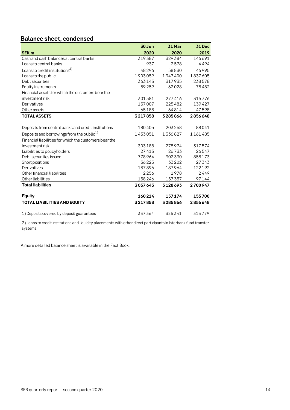# **Balance sheet, condensed**

|                                                        | 30 Jun  | 31 Mar  | 31 Dec  |
|--------------------------------------------------------|---------|---------|---------|
| <b>SEK m</b>                                           | 2020    | 2020    | 2019    |
| Cash and cash balances at central banks                | 319387  | 329384  | 146691  |
| Loans to central banks                                 | 937     | 2578    | 4494    |
| Loans to credit institutions <sup>2)</sup>             | 48296   | 58830   | 46995   |
| Loans to the public                                    | 1903059 | 1947400 | 1837605 |
| Debt securities                                        | 363143  | 317935  | 238578  |
| Equity instruments                                     | 59259   | 62028   | 78482   |
| Financial assets for which the customers bear the      |         |         |         |
| investment risk                                        | 301581  | 277416  | 316776  |
| Derivatives                                            | 157007  | 225482  | 139427  |
| Other assets                                           | 65188   | 64814   | 47598   |
| <b>TOTAL ASSETS</b>                                    | 3217858 | 3285866 | 2856648 |
|                                                        |         |         |         |
| Deposits from central banks and credit institutions    | 180405  | 203268  | 88041   |
| Deposits and borrowings from the public <sup>1)</sup>  | 1433051 | 1336827 | 1161485 |
| Financial liabilities for which the customers bear the |         |         |         |
| investment risk                                        | 303188  | 278974  | 317574  |
| Liabilities to policyholders                           | 27413   | 26733   | 26547   |
| Debt securities issued                                 | 778964  | 902390  | 858173  |
| Short positions                                        | 36225   | 33202   | 27343   |
| Derivatives                                            | 137896  | 187964  | 122192  |
| Other financial liabilities                            | 2256    | 1978    | 2449    |
| Other liabilities                                      | 158246  | 157 357 | 97144   |
| <b>Total liabilities</b>                               | 3057643 | 3128693 | 2700947 |
| <b>Equity</b>                                          | 160214  | 157174  | 155700  |
| <b>TOTAL LIABILITIES AND EQUITY</b>                    | 3217858 | 3285866 | 2856648 |
|                                                        |         |         |         |
| 1) Deposits covered by deposit guarantees              | 337364  | 325341  | 313779  |

2) Loans to credit institutions and liquidity placements with other direct participants in interbank fund transfer systems.

A more detailed balance sheet is available in the Fact Book.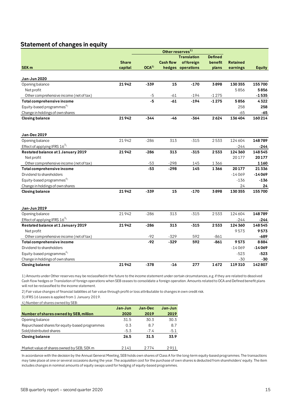# <span id="page-14-1"></span><span id="page-14-0"></span>**Statement of changes in equity**

|                                         |              |                  |                  | <b>Translation</b> | <b>Defined</b> |                 |               |
|-----------------------------------------|--------------|------------------|------------------|--------------------|----------------|-----------------|---------------|
|                                         | <b>Share</b> |                  | <b>Cash flow</b> | offoreign          | benefit        | <b>Retained</b> |               |
| SEK <sub>m</sub>                        | capital      | OCA <sup>2</sup> |                  | hedges operations  | plans          | earnings        | <b>Equity</b> |
|                                         |              |                  |                  |                    |                |                 |               |
| <b>Jan-Jun 2020</b>                     |              |                  |                  |                    |                |                 |               |
| Opening balance                         | 21942        | $-339$           | 15               | $-170$             | 3898           | 130 355         | 155700        |
| Net profit                              |              |                  |                  |                    |                | 5856            | 5856          |
| Other comprehensive income (net of tax) |              | $-5$             | $-61$            | $-194$             | $-1275$        |                 | $-1535$       |
| Total comprehensive income              |              | $-5$             | $-61$            | $-194$             | $-1275$        | 5856            | 4322          |
| Equity-based programmes <sup>4)</sup>   |              |                  |                  |                    |                | 258             | 258           |
| Change in holdings of own shares        |              |                  |                  |                    |                | $-65$           | $-65$         |
| <b>Closing balance</b>                  | 21942        | $-344$           | $-46$            | $-364$             | 2624           | 136404          | 160214        |
|                                         |              |                  |                  |                    |                |                 |               |
| Jan-Dec 2019                            |              |                  |                  |                    |                |                 |               |
| Opening balance                         | 21942        | $-286$           | 313              | $-315$             | 2533           | 124604          | 148789        |
| Effect of applying IFRS $16^{3}$        |              |                  |                  |                    |                | $-244$          | -244          |
| Restated balance at 1 January 2019      | 21942        | $-286$           | 313              | $-315$             | 2533           | 124 360         | 148545        |
| Net profit                              |              |                  |                  |                    |                | 20177           | 20177         |
| Other comprehensive income (net of tax) |              | $-53$            | $-298$           | 145                | 1366           |                 | 1160          |
| Total comprehensive income              |              | $-53$            | $-298$           | 145                | 1366           | 20177           | 21336         |
| Dividend to shareholders                |              |                  |                  |                    |                | $-14069$        | $-14069$      |
| Equity-based programmes <sup>4)</sup>   |              |                  |                  |                    |                | $-136$          | $-136$        |
| Change in holdings of own shares        |              |                  |                  |                    |                | 24              | 24            |
| <b>Closing balance</b>                  | 21942        | $-339$           | 15               | $-170$             | 3898           | 130355          | 155700        |
| Jan-Jun 2019                            |              |                  |                  |                    |                |                 |               |
| Opening balance                         | 21942        | $-286$           | 313              | $-315$             | 2533           | 124604          | 148789        |
| Effect of applying IFRS $16^{3}$        |              |                  |                  |                    |                | $-244$          | -244          |
| Restated balance at 1 January 2019      | 21942        | $-286$           | 313              | $-315$             | 2533           | 124 360         | 148545        |
| Net profit                              |              |                  |                  |                    |                | 9573            | 9573          |
| Other comprehensive income (net of tax) |              | $-92$            | $-329$           | 592                | $-861$         |                 | -689          |
| Total comprehensive income              |              | $-92$            | $-329$           | 592                | $-861$         | 9573            | 8884          |
| Dividend to shareholders                |              |                  |                  |                    |                | $-14069$        | $-14069$      |
|                                         |              |                  |                  |                    |                |                 |               |
| Equity-based programmes <sup>4)</sup>   |              |                  |                  |                    |                | $-523$          | $-523$        |
| Change in holdings of own shares        |              |                  |                  |                    | 1672           | $-30$           | -30           |
| <b>Closing balance</b>                  | 21942        | $-378$           | $-16$            | 277                |                | 119310          | 142807        |

1) Amounts under Other reserves may be reclassified in the future to the income statement under certain circumstances, e.g. if they are related to dissolved Cash flow hedges or Translation of foreign operations when SEB ceases to consolidate a foreign operation. Amounts related to OCA and Defined benefit plans will not be reclassified to the income statement.

2) Fair value changes of financial liabilities at fair value through profit or loss attributable to changes in own credit risk.

3) IFRS 16 Leases is applied from 1 January 2019.

4) Number of shares owned by SEB:

|                                                | Jan-Jun | Jan-Dec | Jan-Jun |
|------------------------------------------------|---------|---------|---------|
| Number of shares owned by SEB, million         | 2020    | 2019    | 2019    |
| Opening balance                                | 31.5    | 30.3    | 30.3    |
| Repurchased shares for equity-based programmes | 0.3     | 8.7     | 8.7     |
| Sold/distributed shares                        | $-5.3$  | $-7.4$  | $-5.1$  |
| <b>Closing balance</b>                         | 26.5    | 31.5    | 33.9    |
| Market value of shares owned by SEB, SEK m     | 2141    | 2 7 7 4 | 2911    |

In accordance with the decision by the Annual General Meeting, SEB holds own shares of Class A for the long-term equity-based programmes. The transactions may take place at one or several occasions during the year. The acquisition cost for the purchase of own shares is deducted from shareholders' equity. The item includes changes in nominal amounts of equity swaps used for hedging of equity-based programmes.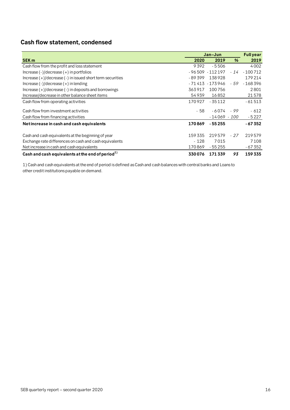# **Cash flow statement, condensed**

|                                                                |          | Jan-Jun            |       | <b>Full year</b> |
|----------------------------------------------------------------|----------|--------------------|-------|------------------|
| <b>SEK m</b>                                                   | 2020     | 2019               | %     | 2019             |
| Cash flow from the profit and loss statement                   | 9392     | $-5506$            |       | 4002             |
| $Increase (-)/decrease (+)$ in portfolios                      |          | $-96509 - 112197$  | $-14$ | $-100712$        |
| Increase $(+)/$ decrease $(-)$ in issued short term securities | $-89399$ | 138928             |       | 179214           |
| Increase $(-)/$ decrease $(+)$ in lending                      |          | - 71 413 - 173 946 | - 59  | $-168396$        |
| Increase $(+)/$ decrease $(-)$ in deposits and borrowings      | 363917   | 100756             |       | 2801             |
| Increase/decrease in other balance sheet items                 | 54939    | 16852              |       | 21578            |
| Cash flow from operating activities                            | 170927   | $-35112$           |       | $-61513$         |
| Cash flow from investment activities                           | - 58     | - 6 0 7 4          | - 99  | $-612$           |
| Cash flow from financing activities                            |          | $-14069 - 100$     |       | $-5227$          |
| Net increase in cash and cash equivalents                      | 170869   | $-55255$           |       | $-67352$         |
| Cash and cash equivalents at the beginning of year             | 159335   | 219579             | $-27$ | 219579           |
| Exchange rate differences on cash and cash equivalents         | $-128$   | 7015               |       | 7108             |
| Net increase in cash and cash equivalents                      | 170869   | - 55 255           |       | $-67352$         |
| Cash and cash equivalents at the end of period $^{1)}$         | 330076   | 171339             | 93    | 159335           |

1) Cash and cash equivalents at the end of period is defined as Cash and cash balances with central banks and Loans to other credit institutions payable on demand.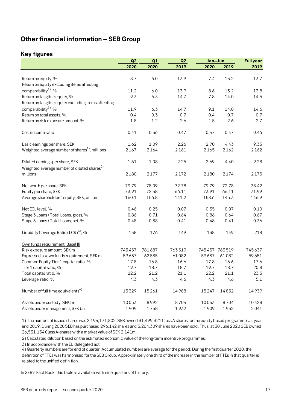# <span id="page-16-0"></span>**Other financial information – SEB Group**

# <span id="page-16-1"></span>**Key figures**

|                                                                                             | Q2     | Q1     | Q2     | Jan-Jun |                 | <b>Full year</b> |
|---------------------------------------------------------------------------------------------|--------|--------|--------|---------|-----------------|------------------|
|                                                                                             | 2020   | 2020   | 2019   | 2020    | 2019            | 2019             |
|                                                                                             |        |        |        |         |                 |                  |
| Return on equity, %                                                                         | 8.7    | 6.0    | 13.9   | 7.4     | 13.2            | 13.7             |
| Return on equity excluding items affecting                                                  |        |        |        |         |                 |                  |
| comparability <sup>1</sup> , %                                                              | 11.2   | 6.0    | 13.9   | 8.6     | 13.2            | 13.8             |
| Return on tangible equity, %                                                                | 9.3    | 6.3    | 14.7   | 7.8     | 14.0            | 14.5             |
| Return on tangible equity excluding items affecting                                         |        |        |        |         |                 |                  |
| comparability <sup>1</sup> , %                                                              | 11.9   | 6.3    | 14.7   | 9.1     | 14.0            | 14.6             |
| Return on total assets, %                                                                   | 0.4    | 0.3    | 0.7    | 0.4     | 0.7             | 0.7              |
| Return on risk exposure amount, %                                                           | 1.8    | 1.2    | 2.6    | 1.5     | 2.6             | 2.7              |
| Cost/income ratio                                                                           | 0.41   | 0.56   | 0.47   | 0.47    | 0.47            | 0.46             |
| Basic earnings per share, SEK                                                               | 1.62   | 1.09   | 2.26   | 2.70    | 4.43            | 9.33             |
| Weighted average number of shares <sup>1</sup> , millions                                   | 2167   | 2164   | 2161   | 2165    | 2162            | 2162             |
| Diluted earnings per share, SEK<br>Weighted average number of diluted shares <sup>2</sup> , | 1.61   | 1.08   | 2.25   | 2.69    | 4.40            | 9.28             |
| millions                                                                                    | 2180   | 2177   | 2172   | 2180    | 2174            | 2175             |
| Net worth per share, SEK                                                                    | 79.79  | 78.09  | 72.78  | 79.79   | 72.78           | 78.42            |
| Equity per share, SEK                                                                       | 73.91  | 72.58  | 66.11  | 73.91   | 66.11           | 71.99            |
| Average shareholders' equity, SEK, billion                                                  | 160.1  | 156.8  | 141.2  | 158.6   | 145.3           | 146.9            |
| Net ECL level, %                                                                            | 0.46   | 0.25   | 0.07   | 0.35    | 0.07            | 0.10             |
| Stage 3 Loans / Total Loans, gross, %                                                       | 0.86   | 0.71   | 0.64   | 0.86    | 0.64            | 0.67             |
| Stage 3 Loans / Total Loans, net, %                                                         | 0.48   | 0.38   | 0.41   | 0.48    | 0.41            | 0.36             |
| Liquidity Coverage Ratio (LCR) <sup>3)</sup> , %                                            | 138    | 176    | 149    | 138     | 149             | 218              |
| Own funds requirement, Basel III                                                            |        |        |        |         |                 |                  |
| Risk exposure amount, SEK m                                                                 | 745457 | 781687 | 763519 |         | 745 457 763 519 | 745637           |
| Expressed as own funds requirement, SEK m                                                   | 59637  | 62535  | 61082  | 59637   | 61082           | 59651            |
| Common Equity Tier 1 capital ratio, %                                                       | 17.8   | 16.8   | 16.6   | 17.8    | 16.6            | 17.6             |
| Tier 1 capital ratio, %                                                                     | 19.7   | 18.7   | 18.7   | 19.7    | 18.7            | 20.8             |
| Total capital ratio, %                                                                      | 22.2   | 21.2   | 21.1   | 22.2    | 21.1            | 23.3             |
| Leverage ratio, %                                                                           | 4.3    | 4.3    | 4.6    | 4.3     | 4.6             | 5.1              |
| Number of full time equivalents <sup>4)</sup>                                               | 15329  | 15261  | 14988  | 15247   | 14852           | 14939            |
| Assets under custody, SEK bn                                                                | 10053  | 8992   | 8704   | 10053   | 8704            | 10428            |
| Assets under management, SEK bn                                                             | 1909   | 1758   | 1932   | 1909    | 1932            | 2041             |

1) The number of issued shares was 2,194,171,802. SEB owned 31,499,321 Class A shares for the equity based programmes at yearend 2019. During 2020 SEB has purchased 296,142 shares and 5,264,309 shares have been sold. Thus, at 30 June 2020 SEB owned 26,531,154 Class A-shares with a market value of SEK 2,141m.

2) Calculated dilution based on the estimated economic value of the long-term incentive programmes.

3) In accordance with the EU delegated act.

4) Quarterly numbers are for end of quarter. Accumulated numbers are average for the period. During the first quarter 2020, the definition of FTEs was harmonised for the SEB Group. Approximately one third of the increase in the number of FTEs in that quarter is related to the unified definition.

In SEB's Fact Book, this table is available with nine quarters of history.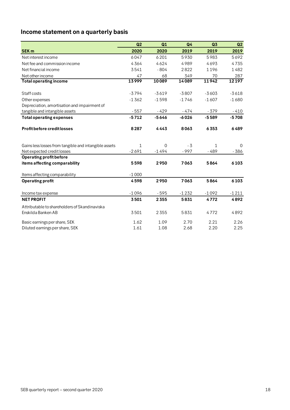# <span id="page-17-0"></span>**Income statement on a quarterly basis**

|                                                       | Q <sub>2</sub> | Q1       | Q4      | Q <sub>3</sub> | Q2           |
|-------------------------------------------------------|----------------|----------|---------|----------------|--------------|
| <b>SEK m</b>                                          | 2020           | 2020     | 2019    | 2019           | 2019         |
| Net interest income                                   | 6047           | 6201     | 5930    | 5983           | 5692         |
| Net fee and commission income                         | 4364           | 4624     | 4989    | 4693           | 4735         |
| Net financial income                                  | 3541           | $-804$   | 2822    | 1196           | 1482         |
| Net other income                                      | 47             | 68       | 349     | 70             | 287          |
| <b>Total operating income</b>                         | 13999          | 10089    | 14089   | 11942          | 12197        |
|                                                       |                |          |         |                |              |
| Staff costs                                           | $-3794$        | $-3619$  | $-3807$ | $-3603$        | $-3618$      |
| Other expenses                                        | $-1362$        | $-1598$  | $-1746$ | $-1607$        | $-1680$      |
| Depreciation, amortisation and impairment of          |                |          |         |                |              |
| tangible and intangible assets                        | $-557$         | $-429$   | $-474$  | $-379$         | $-410$       |
| <b>Total operating expenses</b>                       | $-5712$        | $-5646$  | $-6026$ | $-5589$        | $-5708$      |
| <b>Profit before credit losses</b>                    | 8287           | 4443     | 8063    | 6353           | 6489         |
| Gains less losses from tangible and intangible assets | 1              | $\Omega$ | - 3     | $\mathbf{1}$   | <sup>0</sup> |
| Net expected credit losses                            | $-2691$        | $-1494$  | $-997$  | $-489$         | - 386        |
| <b>Operating profit before</b>                        |                |          |         |                |              |
| items affecting comparability                         | 5598           | 2950     | 7063    | 5864           | 6103         |
| Items affecting comparability                         | $-1000$        |          |         |                |              |
| <b>Operating profit</b>                               | 4598           | 2950     | 7063    | 5864           | 6103         |
| Income tax expense                                    | $-1096$        | $-595$   | $-1232$ | $-1092$        | $-1211$      |
| <b>NET PROFIT</b>                                     | 3501           | 2355     | 5831    | 4772           | 4892         |
| Attributable to shareholders of Skandinaviska         |                |          |         |                |              |
| Enskilda Banken AB                                    | 3501           | 2355     | 5831    | 4772           | 4892         |
| Basic earnings per share, SEK                         | 1.62           | 1.09     | 2.70    | 2.21           | 2.26         |
| Diluted earnings per share, SEK                       | 1.61           | 1.08     | 2.68    | 2.20           | 2.25         |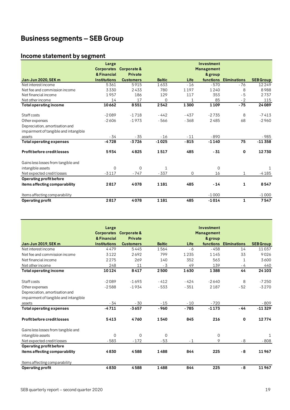# <span id="page-18-0"></span>**Business segments – SEB Group**

# <span id="page-18-1"></span>**Income statement by segment**

|                                       | Large                            |                                          |               |        | Investment                   |                     |                  |
|---------------------------------------|----------------------------------|------------------------------------------|---------------|--------|------------------------------|---------------------|------------------|
|                                       | <b>Corporates</b><br>& Financial | <b>Corporate &amp;</b><br><b>Private</b> |               |        | <b>Management</b><br>& group |                     |                  |
| <b>Jan-Jun 2020, SEK m</b>            | <b>Institutions</b>              | <b>Customers</b>                         | <b>Baltic</b> | Life   | functions                    | <b>Eliminations</b> | <b>SEB Group</b> |
| Net interest income                   | 5361                             | 5915                                     | 1633          | $-16$  | $-570$                       | $-76$               | 12249            |
| Net fee and commission income         | 3330                             | 2433                                     | 780           | 1197   | 1240                         | 8                   | 8988             |
| Net financial income                  | 1957                             | 186                                      | 129           | 117    | 353                          | $-5$                | 2737             |
| Net other income                      | 14                               | 17                                       | $\Omega$      |        | 85                           | $-2$                | 115              |
| Total operating income                | 10662                            | 8551                                     | 2542          | 1300   | 1109                         | $-75$               | 24089            |
| Staff costs                           | $-2089$                          | $-1718$                                  | $-442$        | $-437$ | $-2735$                      | 8                   | $-7413$          |
| Other expenses                        | $-2606$                          | $-1973$                                  | $-566$        | $-368$ | 2485                         | 68                  | $-2960$          |
| Depreciation, amortisation and        |                                  |                                          |               |        |                              |                     |                  |
| impairment of tangible and intangible |                                  |                                          |               |        |                              |                     |                  |
| assets                                | $-34$                            | $-35$                                    | $-16$         | $-11$  | $-890$                       |                     | $-985$           |
| <b>Total operating expenses</b>       | $-4728$                          | $-3726$                                  | $-1025$       | $-815$ | $-1140$                      | 75                  | $-11358$         |
| <b>Profit before credit losses</b>    | 5934                             | 4825                                     | 1517          | 485    | $-31$                        | 0                   | 12730            |
| Gains less losses from tangible and   |                                  |                                          |               |        |                              |                     |                  |
| intangible assets                     | $\Omega$                         | $\mathbf 0$                              | 1             |        | $\overline{0}$               |                     | 1                |
| Net expected credit losses            | $-3117$                          | $-747$                                   | $-337$        | 0      | 16                           | $\mathbf{1}$        | $-4185$          |
| Operating profit before               |                                  |                                          |               |        |                              |                     |                  |
| items affecting comparability         | 2817                             | 4078                                     | 1181          | 485    | $-14$                        | 1                   | 8547             |
| Items affecting comparability         |                                  |                                          |               |        | $-1000$                      |                     | $-1000$          |
| <b>Operating profit</b>               | 2817                             | 4078                                     | 1181          | 485    | $-1014$                      | 1                   | 7547             |

|                                       | Large               |                        |               |        | Investment        |                     |                  |
|---------------------------------------|---------------------|------------------------|---------------|--------|-------------------|---------------------|------------------|
|                                       |                     | Corporates Corporate & |               |        | <b>Management</b> |                     |                  |
|                                       | & Financial         | Private                |               |        | & group           |                     |                  |
| <b>Jan-Jun 2019, SEK m</b>            | <b>Institutions</b> | <b>Customers</b>       | <b>Baltic</b> | Life   | functions         | <b>Eliminations</b> | <b>SEB Group</b> |
| Net interest income                   | 4479                | 5445                   | 1564          | - 6    | $-458$            | 14                  | 11037            |
| Net fee and commission income         | 3122                | 2692                   | 799           | 1235   | 1145              | 33                  | 9026             |
| Net financial income                  | 2275                | 269                    | 140           | 352    | 563               | $\mathbf{1}$        | 3600             |
| Net other income                      | 248                 | 11                     | $-3$          | 49     | 139               | - 4                 | 440              |
| <b>Total operating income</b>         | 10124               | 8417                   | 2500          | 1630   | 1388              | 44                  | 24103            |
| Staff costs                           | $-2089$             | $-1693$                | $-412$        | $-424$ | $-2640$           | 8                   | $-7250$          |
| Other expenses                        | $-2588$             | $-1934$                | $-533$        | $-351$ | 2187              | $-52$               | $-3270$          |
| Depreciation, amortisation and        |                     |                        |               |        |                   |                     |                  |
| impairment of tangible and intangible |                     |                        |               |        |                   |                     |                  |
| assets                                | $-34$               | $-30$                  | $-15$         | $-10$  | $-720$            |                     | $-809$           |
| <b>Total operating expenses</b>       | $-4711$             | $-3657$                | $-960$        | $-785$ | $-1173$           | $-44$               | $-11329$         |
| <b>Profit before credit losses</b>    | 5413                | 4760                   | 1540          | 845    | 216               | 0                   | 12774            |
| Gains less losses from tangible and   |                     |                        |               |        |                   |                     |                  |
| intangible assets                     | $\Omega$            | $\Omega$               | $\Omega$      |        | 0                 |                     | -1.              |
| Net expected credit losses            | $-583$              | $-172$                 | $-53$         | $-1$   | 9                 | $-8$                | $-808$           |
| Operating profit before               |                     |                        |               |        |                   |                     |                  |
| items affecting comparability         | 4830                | 4588                   | 1488          | 844    | 225               | - 8                 | 11967            |
| Items affecting comparability         |                     |                        |               |        |                   |                     |                  |
| Operating profit                      | 4830                | 4588                   | 1488          | 844    | 225               | - 8                 | 11967            |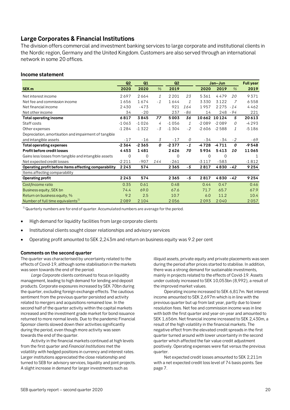# <span id="page-19-0"></span>**Large Corporates & Financial Institutions**

The division offers commercial and investment banking services to large corporate and institutional clients in the Nordic region, Germany and the United Kingdom. Customers are also served through an international network in some 20 offices.

#### **Income statement**

|                                                       | Q2       | Q1      |      | Q <sub>2</sub> |               | Jan-Jun |             | <b>Full year</b> |         |
|-------------------------------------------------------|----------|---------|------|----------------|---------------|---------|-------------|------------------|---------|
| SEK <sub>m</sub>                                      | 2020     | 2020    | $\%$ | 2019           |               | 2020    | 2019        | $\%$             | 2019    |
| Net interest income                                   | 2697     | 2664    | 1    | 2 2 0 1        | 23            | 5361    | 4479        | 20               | 9371    |
| Net fee and commission income                         | 1656     | 1674    | $-1$ | 1644           | $\mathcal{I}$ | 3330    | 3122        | 7                | 6558    |
| Net financial income                                  | 2430     | $-473$  |      | 921            | 164           | 1957    | 2275        | $-14$            | 4462    |
| Net other income                                      | 34       | $-20$   |      | 237            | - 86          | 14      | 248         | - 94             | 221     |
| <b>Total operating income</b>                         | 6817     | 3845    | 77   | 5003           | 36            |         | 10662 10124 | 5                | 20613   |
| Staff costs                                           | $-1063$  | $-1026$ | 4    | $-1056$        | 1             | $-2089$ | $-2089$     | 0                | $-4293$ |
| Other expenses                                        | $-1284$  | $-1322$ | $-3$ | $-1304$        | $-2$          | $-2606$ | $-2588$     | $\mathcal{I}$    | $-5186$ |
| Depreciation, amortisation and impairment of tangible |          |         |      |                |               |         |             |                  |         |
| and intangible assets                                 | $-17$    | $-16$   | 3    | $-17$          | 0             | - 34    | - 34        | $-2$             | -69     |
| <b>Total operating expenses</b>                       | $-2364$  | $-2365$ | 0    | $-2377$        | $-1$          | -4728   | $-4711$     | 0                | $-9548$ |
| Profit before credit losses                           | 4453     | 1481    |      | 2626           | 70            | 5934    | 5413        | 10               | 11065   |
| Gains less losses from tangible and intangible assets | $\Omega$ | 0       |      | 0              |               | 0       | $\Omega$    |                  | 1       |
| Net expected credit losses                            | $-2211$  | $-907$  | 144  | $-261$         |               | $-3117$ | $-583$      |                  | $-1812$ |
| Operating profit before items affecting comparability | 2243     | 574     |      | 2365           | - 5           | 2817    | 4830 - 42   |                  | 9254    |
| Items affecting comparability                         |          |         |      |                |               |         |             |                  |         |
| <b>Operating profit</b>                               | 2243     | 574     |      | 2365           | $-5$          | 2817    | 4830 - 42   |                  | 9254    |
| Cost/Income ratio                                     | 0.35     | 0.61    |      | 0.48           |               | 0.44    | 0.47        |                  | 0.46    |
| Business equity, SEK bn                               | 74.4     | 69.0    |      | 67.6           |               | 71.7    | 65.7        |                  | 67.9    |
| Return on business equity, %                          | 9.2      | 2.5     |      | 10.7           |               | 6.0     | 11.2        |                  | 10.4    |
| Number of full time equivalents <sup>1)</sup>         | 2089     | 2 1 0 4 |      | 2056           |               | 2093    | 2040        |                  | 2057    |

 $1)$  Quarterly numbers are for end of quarter. Accumulated numbers are average for the period.

- High demand for liquidity facilities from large corporate clients
- Institutional clients sought closer relationships and advisory services
- Operating profit amounted to SEK 2,243m and return on business equity was 9.2 per cent

#### **Comments on the second quarter**

The quarter was characterised by uncertainty related to the effects of Covid-19, although some stabilisation in the markets was seen towards the end of the period.

*Large Corporate* clients continued to focus on liquidity management, leading to high demand for lending and deposit products. Corporate exposures increased by SEK 70bn during the quarter, excluding foreign exchange effects. The cautious sentiment from the previous quarter persisted and activity related to mergers and acquisitions remained low. In the second half of the quarter activity within the capital markets increased and the investment grade market for bond issuance returned to more normal levels. Due to the pandemic Financial Sponsor clients slowed down their activities significantly during the period, even though more activity was seen towards the end of the quarter.

Activity in the financial markets continued at high levels from the first quarter and *Financial Institutions* met the volatility with hedged positions in currency and interest rates. Larger institutions appreciated the close relationship and turned to SEB for advisory services, liquidity and joint projects. A slight increase in demand for larger investments such as

illiquid assets, private equity and private placements was seen during the period after prices started to stabilise. In addition, there was a strong demand for sustainable investments, mainly in projects related to the effects of Covid-19. Assets under custody increased to SEK 10,053bn (8,992), a result of the improved market values.

Operating income increased to SEK 6,817m. Net interest income amounted to SEK 2,697m which is in line with the previous quarter but up from last year, partly due to lower resolution fees. Net fee and commission income was in line with both the first quarter and year-on-year and amounted to SEK 1,656m. Net financial income increased to SEK 2,430m, a result of the high volatility in the financial markets. The negative effect from the elevated credit spreads in the first quarter turned around with lower uncertainty in the second quarter which affected the fair value credit adjustment positively. Operating expenses were flat versus the previous quarter.

Net expected credit losses amounted to SEK 2,211m with a net expected credit loss level of 74 basis points. See page 7.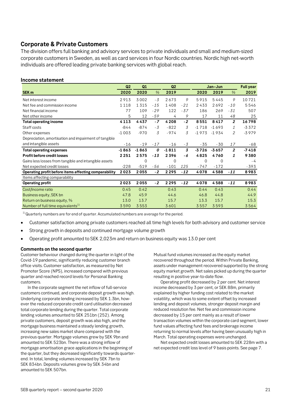# <span id="page-20-0"></span>**Corporate & Private Customers**

The division offers full banking and advisory services to private individuals and small and medium-sized corporate customers in Sweden, as well as card services in four Nordic countries. Nordic high net-worth individuals are offered leading private banking services with global reach.

### **Income statement**

|                                                       | Q <sub>2</sub> | Q1      |               | Q2      |                |             | Jan-Jun  |                |         |
|-------------------------------------------------------|----------------|---------|---------------|---------|----------------|-------------|----------|----------------|---------|
| SEK <sub>m</sub>                                      | 2020           | 2020    | $\frac{9}{6}$ | 2019    |                | 2020        | 2019     | $\%$           | 2019    |
| Net interest income                                   | 2913           | 3002    | $-3$          | 2673    | 9              | 5915        | 5445     | 9              | 10721   |
| Net fee and commission income                         | 1118           | 1315    | $-15$         | 1408    | $-21$          | 2433        | 2692     | $-10$          | 5546    |
| Net financial income                                  | 77             | 109     | $-29$         | 122     | $-37$          | 186         | 269      | $-31$          | 507     |
| Net other income                                      | 5              | 12      | $-59$         | 4       | 9              | 17          | 11       | 48             | 25      |
| <b>Total operating income</b>                         | 4113           | 4437    | $-7$          | 4208    | $-2$           | 8551        | 8417     | $\overline{2}$ | 16798   |
| Staff costs                                           | $-844$         | $-874$  | - 3           | $-822$  | 3              | $-1718$     | $-1693$  | $\mathbf{1}$   | $-3372$ |
| Other expenses                                        | $-1003$        | $-970$  | 3             | $-974$  | 3              | $-1973$     | $-1934$  | 2              | $-3979$ |
| Depreciation, amortisation and impairment of tangible |                |         |               |         |                |             |          |                |         |
| and intangible assets                                 | $-16$          | $-19$   | $-17$         | $-16$   | $-3$           | - 35        | -30      | 17             | -68     |
| <b>Total operating expenses</b>                       | $-1863$        | $-1863$ | 0             | $-1811$ | $\overline{3}$ | $-3726$     | $-3657$  | $\overline{2}$ | $-7418$ |
| <b>Profit before credit losses</b>                    | 2251           | 2575    | $-13$         | 2396    | - 6            | 4825        | 4760     | 1              | 9380    |
| Gains less losses from tangible and intangible assets |                | 0       |               | 0       |                | $\mathbf 0$ | $\Omega$ |                | - 4     |
| Net expected credit losses                            | $-228$         | $-519$  | -56           | $-101$  | 125            | $-747$      | $-172$   |                | $-393$  |
| Operating profit before items affecting comparability | 2023           | 2055    | $-2$          | 2295    | $-12$          | 4078        | 4588     | $-11$          | 8983    |
| Items affecting comparability                         |                |         |               |         |                |             |          |                |         |
| <b>Operating profit</b>                               | 2023           | 2055    | $-2$          | 2295    | $-12$          | 4078        | 4588     | $-11$          | 8983    |
| Cost/Income ratio                                     | 0.45           | 0.42    |               | 0.43    |                | 0.44        | 0.43     |                | 0.44    |
| Business equity, SEK bn                               | 47.8           | 45.9    |               | 44.6    |                | 46.8        | 44.8     |                | 44.9    |
| Return on business equity, %                          | 13.0           | 13.7    |               | 15.7    |                | 13.3        | 15.7     |                | 15.3    |
| Number of full time equivalents <sup>1)</sup>         | 3590           | 3553    |               | 3601    |                | 3557        | 3593     |                | 3564    |

 $1)$ Quarterly numbers are for end of quarter. Accumulated numbers are average for the period.

- Customer satisfaction among private customers reached all time high levels for both advisory and customer service
- Strong growth in deposits and continued mortgage volume growth
- Operating profit amounted to SEK 2,023m and return on business equity was 13.0 per cent

#### **Comments on the second quarter**

Customer behaviour changed during the quarter in light of the Covid-19 pandemic, significantly reducing customer branch office visits. Customer satisfaction, as measured by Net Promoter Score (NPS), increased compared with previous quarter and reached record levels for Personal Banking customers.

In the corporate segment the net inflow of full-service customers continued, and corporate deposit growth was high. Underlying corporate lending increased by SEK 1.3bn, however the reduced corporate credit card utilisation decreased total corporate lending during the quarter. Total corporate lending volumes amounted to SEK 251bn (252). Among private customers, deposit growth was also high, and the mortgage business maintained a steady lending growth, increasing new sales market share compared with the previous quarter. Mortgage volumes grew by SEK 9bn and amounted to SEK 523bn. There was a strong inflow of mortgage amortisation grace applications in the beginning of the quarter, but they decreased significantly towards quarterend. In total, lending volumes increased by SEK 7bn to SEK 834bn. Deposits volumes grew by SEK 34bn and amounted to SEK 507bn.

Mutual fund volumes increased as the equity market recovered throughout the period. Within Private Banking, assets under management recovered supported by the strong equity market growth. Net sales picked up during the quarter resulting in positive year-to-date flow.

Operating profit decreased by 2 per cent. Net interest income decreased by 3 per cent, or SEK 88m, primarily explained by higher funding cost related to the market volatility, which was to some extent offset by increased lending and deposit volumes, stronger deposit margin and reduced resolution fee. Net fee and commission income decreased by 15 per cent mainly as a result of lower transaction volumes within the corporate card segment, lower fund values affecting fund fees and brokerage income returning to normal levels after having been unusually high in March. Total operating expenses were unchanged.

Net expected credit losses amounted to SEK 228m with a net expected credit loss level of 9 basis points. See page 7.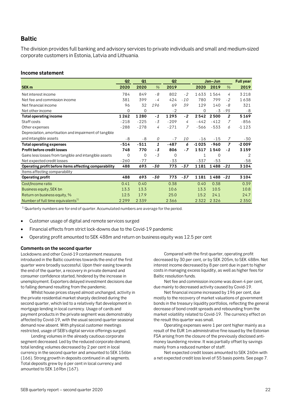# <span id="page-21-0"></span>**Baltic**

The division provides full banking and advisory services to private individuals and small and medium-sized corporate customers in Estonia, Latvia and Lithuania.

#### **Income statement**

|                                                       | Q <sub>2</sub> | Q1             |                | Q2       |                |              | Jan-Jun   |                | <b>Full year</b> |
|-------------------------------------------------------|----------------|----------------|----------------|----------|----------------|--------------|-----------|----------------|------------------|
| SEK <sub>m</sub>                                      | 2020           | 2020           | $\%$           | 2019     |                | 2020         | 2019      | $\%$           | 2019             |
| Net interest income                                   | 784            | 849            | $-8$           | 802      | $-2$           | 1633         | 1564      | 4              | 3218             |
| Net fee and commission income                         | 381            | 399            | - 4            | 424      | $-10$          | 780          | 799       | $-2$           | 1638             |
| Net financial income                                  | 96             | 32             | 196            | 69       | 39             | 129          | 140       | - 8            | 321              |
| Net other income                                      | $\Omega$       | 0              |                | $-2$     |                | $\Omega$     | $-3$      | - 95           | $-8$             |
| <b>Total operating income</b>                         | 1262           | 1280           | $-1$           | 1293     | $-2$           | 2542         | 2500      | $\overline{c}$ | 5169             |
| Staff costs                                           | $-218$         | $-225$         | $-3$           | $-209$   | 4              | $-442$       | $-412$    | 7              | $-856$           |
| Other expenses                                        | $-288$         | $-278$         | $\overline{4}$ | $-271$   | $\overline{7}$ | $-566$       | $-533$    | 6              | $-1123$          |
| Depreciation, amortisation and impairment of tangible |                |                |                |          |                |              |           |                |                  |
| and intangible assets                                 | $-8$           | - 8            | 0              | $-7$     | <i>10</i>      | $-16$        | $-15$     | 7              | - 30             |
| <b>Total operating expenses</b>                       | $-514$         | $-511$         | 1              | $-487$   | 6              | $-1025$      | $-960$    | $\overline{z}$ | $-2009$          |
| <b>Profit before credit losses</b>                    | 748            | 770            | - 3            | 806      | $-7$           | 1517         | 1540      | $-1$           | 3159             |
| Gains less losses from tangible and intangible assets | $\Omega$       | $\overline{0}$ | $-3$           | $\Omega$ |                | $\mathbf{1}$ | 0         |                | 2                |
| Net expected credit losses                            | $-260$         | $-77$          |                | $-33$    |                | $-337$       | $-53$     |                | $-58$            |
| Operating profit before items affecting comparability | 488            | 693            | -30            | 773      | $-37$          | 1181         | 1488 - 21 |                | 3104             |
| Items affecting comparability                         |                |                |                |          |                |              |           |                |                  |
| <b>Operating profit</b>                               | 488            | 693            | -30            | 773      | $-37$          | 1181         | 1488 - 21 |                | 3104             |
| Cost/Income ratio                                     | 0.41           | 0.40           |                | 0.38     |                | 0.40         | 0.38      |                | 0.39             |
| Business equity, SEK bn                               | 13.3           | 13.3           |                | 10.6     |                | 13.3         | 10.5      |                | 10.8             |
| Return on business equity, %                          | 12.5           | 17.9           |                | 25.0     |                | 15.2         | 24.1      |                | 24.7             |
| Number of full time equivalents <sup>1)</sup>         | 2299           | 2339           |                | 2366     |                | 2322         | 2326      |                | 2350             |

 $1)$  Quarterly numbers are for end of quarter. Accumulated numbers are average for the period.

- Customer usage of digital and remote services surged
- Financial effects from strict lock-downs due to the Covid-19 pandemic
- Operating profit amounted to SEK 488m and return on business equity was 12.5 per cent

#### **Comments on the second quarter**

Lockdowns and other Covid-19 containment measures introduced in the Baltic countries towards the end of the first quarter were broadly successful. Upon their easing towards the end of the quarter, a recovery in private demand and consumer confidence started, hindered by the increase in unemployment. Exporters delayed investment decisions due to falling demand resulting from the pandemic.

Whilst house prices stayed almost unchanged, activity in the private residential market sharply declined during the second quarter, which led to a relatively flat development in mortgage lending in local currency. Usage of cards and payment products in the private segment was demonstrably affected by Covid-19, with the usual second quarter seasonal demand now absent. With physical customer meetings restricted, usage of SEB's digital service offerings surged.

Lending volumes in the already cautious corporate segment decreased. Led by the reduced corporate demand, total lending volumes decreased by 2 per cent in local currency in the second quarter and amounted to SEK 156bn (166). Strong growth in deposits continued in all segments. Total deposits grew by 6 per cent in local currency and amounted to SEK 169bn (167).

Compared with the first quarter, operating profit decreased by 30 per cent, or by SEK 205m, to SEK 488m. Net interest income decreased by 8 per cent due in part to higher costs in managing excess liquidity, as well as higher fees for Baltic resolution funds.

Net fee and commission income was down 4 per cent, due mainly to decreased activity caused by Covid-19.

Net financial income increased by 196 per cent, due mostly to the recovery of market valuations of government bonds in the treasury liquidity portfolios, reflecting the general decrease of bond credit spreads and rebounding from the market volatility related to Covid-19. The currency effect on the result this quarter was small.

Operating expenses were 1 per cent higher mainly as a result of the EUR 1m administrative fine issued by the Estonian FSA arising from the closure of the previously disclosed antimoney laundering review. It was partially offset by savings mainly from a reduced number of staff.

Net expected credit losses amounted to SEK 260m with a net expected credit loss level of 55 basis points. See page 7.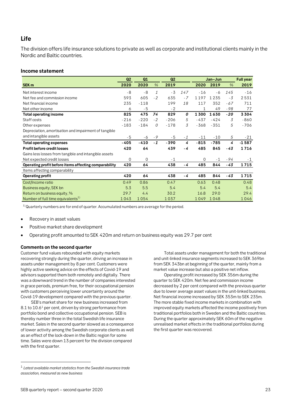## <span id="page-22-0"></span>**Life**

The division offers life insurance solutions to private as well as corporate and institutional clients mainly in the Nordic and Baltic countries.

#### **Income statement**

|                                                       | Q <sub>2</sub> | Q1     |               | Q2     |      |        | Jan-Jun |       | <b>Full year</b> |
|-------------------------------------------------------|----------------|--------|---------------|--------|------|--------|---------|-------|------------------|
| SEK <sub>m</sub>                                      | 2020           | 2020   | $\frac{9}{6}$ | 2019   |      | 2020   | 2019    | %     | 2019             |
| Net interest income                                   | $-8$           | $-8$   | $\mathbf{1}$  | $-3$   | 147  | $-16$  | - 6     | 145   | $-16$            |
| Net fee and commission income                         | 593            | 605    | $-2$          | 635    | $-7$ | 1197   | 1235    | $-3$  | 2531             |
| Net financial income                                  | 235            | $-118$ |               | 199    | 18   | 117    | 352     | $-67$ | 711              |
| Net other income                                      | 6              | $-5$   |               | $-2$   |      | 1      | 49      | $-98$ | 77               |
| <b>Total operating income</b>                         | 825            | 475    | 74            | 829    | 0    | 1300   | 1630    | $-20$ | 3304             |
| Staff costs                                           | $-216$         | $-220$ | $-2$          | $-206$ | 5    | $-437$ | $-424$  | 3     | $-860$           |
| Other expenses                                        | $-183$         | $-184$ | 0             | $-178$ | 3    | $-368$ | $-351$  | 5     | $-706$           |
| Depreciation, amortisation and impairment of tangible |                |        |               |        |      |        |         |       |                  |
| and intangible assets                                 | $-5$           | - 6    | - 9           | $-5$   | $-1$ | $-11$  | $-10$   | 5     | $-21$            |
| <b>Total operating expenses</b>                       | $-405$         | $-410$ | $-1$          | $-390$ | 4    | $-815$ | $-785$  | 4     | $-1587$          |
| Profit before credit losses                           | 420            | 64     |               | 439    | - 4  | 485    | 845     | $-43$ | 1716             |
| Gains less losses from tangible and intangible assets |                |        |               |        |      |        |         |       |                  |
| Net expected credit losses                            | $\Omega$       | 0      |               | $-1$   |      | 0      | $-1$    | $-94$ | $-1$             |
| Operating profit before items affecting comparability | 420            | 64     |               | 438    | - 4  | 485    | 844     | $-43$ | 1715             |
| Items affecting comparability                         |                |        |               |        |      |        |         |       |                  |
| <b>Operating profit</b>                               | 420            | 64     |               | 438    | - 4  | 485    | 844     | $-43$ | 1715             |
| Cost/Income ratio                                     | 0.49           | 0.86   |               | 0.47   |      | 0.63   | 0.48    |       | 0.48             |
| Business equity, SEK bn                               | 5.3            | 5.5    |               | 5.4    |      | 5.4    | 5.4     |       | 5.4              |
| Return on business equity, %                          | 29.7           | 4.4    |               | 30.2   |      | 16.8   | 29.0    |       | 29.4             |
| Number of full time equivalents <sup>1)</sup>         | 1043           | 1054   |               | 1037   |      | 1049   | 1048    |       | 1046             |

 $1)$ Quarterly numbers are for end of quarter. Accumulated numbers are average for the period.

- Recovery in asset values
- Positive market share development
- Operating profit amounted to SEK 420m and return on business equity was 29.7 per cent

#### **Comments on the second quarter**

Customer fund values rebounded with equity markets recovering strongly during the quarter, driving an increase in assets under management by 8 per cent. Customers were highly active seeking advice on the effects of Covid-19 and advisors supported them both remotely and digitally. There was a downward trend in the number of companies interested in grace periods, premium free, for their occupational pension with customers perceiving lower uncertainty around the Covid-19 development compared with the previous quarter.

SEB's market share for new business increased from 8.1 to 10.6<sup>1</sup> per cent, driven by strong performance from portfolio bond and collective occupational pension. SEB is thereby number three in the total Swedish life insurance market. Sales in the second quarter slowed as a consequence of lower activity among the Swedish corporate clients as well as an effect of the lock-down in the Baltic region for some time. Sales were down 13 percent for the division compared with the first quarter.

Total assets under management for both the traditional and unit-linked insurance segments increased to SEK 369bn from SEK 343bn at beginning of the quarter, mainly from a market value increase but also a positive net inflow.

Operating profit increased by SEK 356m during the quarter to SEK 420m. Net fee and commission income decreased by 2 per cent compared with the previous quarter due to lower average asset values in the unit-linked business. Net financial income increased by SEK 353m to SEK 235m. The more stable fixed income markets in combination with improved equity markets affected the income positively from traditional portfolios both in Sweden and the Baltic countries. During the quarter approximately SEK 60m of the negative unrealised market effects in the traditional portfolios during the first quarter was recovered.

<span id="page-22-1"></span> <sup>1</sup> *Latest available market statistics from the Swedish insurance trade association, measured as new business*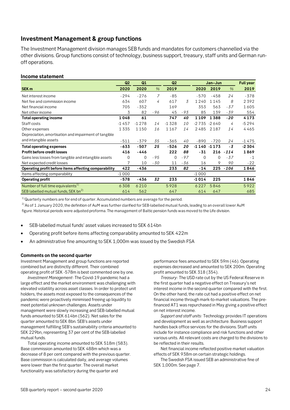# <span id="page-23-0"></span>**Investment Management & group functions**

The Investment Management division manages SEB funds and mandates for customers channelled via the other divisions. Group functions consist of technology, business support, treasury, staff units and German runoff operations.

#### **Income statement**

|                                                       | Q2          | Q1       |       | Q <sub>2</sub> |       |             | Jan-Jun        |        | <b>Full year</b> |
|-------------------------------------------------------|-------------|----------|-------|----------------|-------|-------------|----------------|--------|------------------|
| SEK <sub>m</sub>                                      | 2020        | 2020     | $\%$  | 2019           |       | 2020        | 2019           | $\%$   | 2019             |
| Net interest income                                   | $-294$      | $-276$   | 7     | $-85$          |       | $-570$      | $-458$         | 24     | $-378$           |
| Net fee and commission income                         | 634         | 607      | 4     | 617            | 3     | 1240        | 1145           | 8      | 2392             |
| Net financial income                                  | 705         | $-352$   |       | 169            |       | 353         | 563            | $-37$  | 1605             |
| Net other income                                      | 3           | 82       | - 96  | 45             | $-93$ | 85          | 139            | -39    | 554              |
| <b>Total operating income</b>                         | 1048        | 61       |       | 747            | 40    | 1109        | 1388           | $-20$  | 4173             |
| Staff costs                                           | $-1457$     | $-1278$  | 14    | $-1328$        | 10    |             | $-2735 - 2640$ | 4      | $-5294$          |
| Other expenses                                        | 1335        | 1150     | 16    | 1167           | 14    | 2485        | 2187           | 14     | 4465             |
| Depreciation, amortisation and impairment of tangible |             |          |       |                |       |             |                |        |                  |
| and intangible assets                                 | $-511$      | $-379$   | 35    | $-365$         | 40    | $-890$      | $-720$         | 24     | $-1475$          |
| Total operating expenses                              | $-633$      | $-507$   | 25    | $-526$         | 20    | -1 140      | $-1173$        | $-3$   | $-2304$          |
| Profit before credit losses                           | 416         | -446     |       | 222            | 88    | $-31$       | 216            | $-114$ | 1869             |
| Gains less losses from tangible and intangible assets | $\mathbf 0$ | $\Omega$ | $-95$ | 0              | $-97$ | $\mathbf 0$ | $\Omega$       | $-37$  | $-1$             |
| Net expected credit losses                            | 7           | 10       | -30   | 11             | -36   | 16          | 9              | 90     | $-22$            |
| Operating profit before items affecting comparability | 422         | -436     |       | 233            | 82    | $-14$       | 225            | $-106$ | 1846             |
| Items affecting comparability                         | $-1000$     |          |       |                |       | $-1000$     |                |        |                  |
| <b>Operating profit</b>                               | $-578$      | -436     | 32    | 233            |       | $-1014$     | 225            |        | 1846             |
| Number of full time equivalents <sup>1)</sup>         | 6308        | 6210     |       | 5928           |       | 6227        | 5846           |        | 5922             |
| SEB labelled mutual funds, SEK bn <sup>2)</sup>       | 614         | 562      |       | 647            |       | 614         | 647            |        | 685              |

 $1)$ Quarterly numbers are for end of quarter. Accumulated numbers are average for the period.

<sup>2)</sup> As of 1 January 2020, the definition of AuM was further clarified for SEB-labelled mutual funds, leading to an overall lower AuM figure. Historical periods were adjusted proforma. The management of Baltic pension funds was moved to the Life division.

- SEB-labelled mutual funds' asset values increased to SEK 614bn
- Operating profit before items affecting comparability amounted to SEK 422m
- An administrative fine amounting to SEK 1,000m was issued by the Swedish FSA

#### **Comments on the second quarter**

Investment Management and group functions are reported combined but are distinctly different. Their combined operating profit of SEK -578m is best commented one by one.

*Investment Management*: The Covid-19 pandemic had a large effect and the market environment was challenging with elevated volatility across asset classes. In order to protect unit holders, the assets most exposed to the consequences of the pandemic were proactively minimised freeing up liquidity to meet potential unknown challenges. Assets under management were slowly increasing and SEB-labelled mutual funds amounted to SEK 614bn (562). Net sales for the quarter amounted to SEK 8bn. SEB's assets under management fulfilling SEB's sustainability criteria amounted to SEK 229bn, representing 37 per cent of the SEB-labelled mutual funds.

Total operating income amounted to SEK 518m (583). Base commission amounted to SEK 488m which was a decrease of 8 per cent compared with the previous quarter. Base commission is calculated daily, and average volumes were lower than the first quarter. The overall market functionality was satisfactory during the quarter and

performance fees amounted to SEK 59m (46). Operating expenses decreased and amounted to SEK 200m. Operating profit amounted to SEK 318 (354).

*Treasury*: The USD rate cut by the US Federal Reserve in the first quarter had a negative effect on Treasury's net interest income in the second quarter compared with the first. On the other hand, the rate cut had a positive effect on net financial income through mark-to-market valuations. The prefinanced AT1 was repurchased in May giving a positive effect on net interest income.

*Support and staff units:* Technology provides IT operations and development as well as architecture. Business support handles back office services for the divisions. Staff units include for instance compliance and risk functions and other various units. All relevant costs are charged to the divisions to be reflected in their results.

Net financial income reflected positive market valuation effects of SEK 938m on certain strategic holdings.

The Swedish FSA issued SEB an administrative fine of SEK 1,000m. See page 7.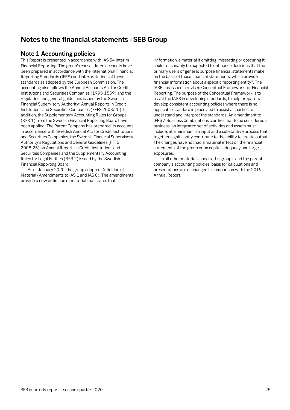# <span id="page-24-0"></span>**Notes to the financial statements - SEB Group**

# <span id="page-24-1"></span>**Note 1 Accounting policies**

This Report is presented in accordance with IAS 34 Interim Financial Reporting. The group's consolidated accounts have been prepared in accordance with the International Financial Reporting Standards (IFRS) and interpretations of these standards as adopted by the European Commission. The accounting also follows the Annual Accounts Act for Credit Institutions and Securities Companies (1995:1559) and the regulation and general guidelines issued by the Swedish Financial Supervisory Authority: Annual Reports in Credit Institutions and Securities Companies (FFFS 2008:25). In addition, the Supplementary Accounting Rules for Groups (RFR 1) from the Swedish Financial Reporting Board have been applied. The Parent Company has prepared its accounts in accordance with Swedish Annual Act for Credit Institutions and Securities Companies, the Swedish Financial Supervisory Authority's Regulations and General Guidelines (FFFS 2008:25) on Annual Reports in Credit Institutions and Securities Companies and the Supplementary Accounting Rules for Legal Entities (RFR 2) issued by the Swedish Financial Reporting Board.

As of January 2020, the group adopted Definition of Material (Amendments to IAS 1 and IAS 8). The amendments provide a new definition of material that states that

"information is material if omitting, misstating or obscuring it could reasonably be expected to influence decisions that the primary users of general purpose financial statements make on the basis of those financial statements, which provide financial information about a specific reporting entity". The IASB has issued a revised Conceptual Framework for Financial Reporting. The purpose of the Conceptual Framework is to assist the IASB in developing standards, to help preparers develop consistent accounting policies where there is no applicable standard in place and to assist all parties to understand and interpret the standards. An amendment to IFRS 3 Business Combinations clarifies that to be considered a business, an integrated set of activities and assets must include, at a minimum, an input and a substantive process that together significantly contribute to the ability to create output. The changes have not had a material effect on the financial statements of the group or on capital adequacy and large exposures.

In all other material aspects, the group's and the parent company's accounting policies, basis for calculations and presentations are unchanged in comparison with the 2019 Annual Report.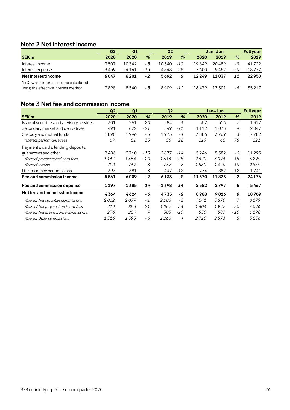# <span id="page-25-0"></span>**Note 2 Net interest income**

|                                                                               | Q2    | Q1    |       | Q2    |               | Jan-Jun |         |       | <b>Full year</b> |
|-------------------------------------------------------------------------------|-------|-------|-------|-------|---------------|---------|---------|-------|------------------|
| <b>SEK m</b>                                                                  | 2020  | 2020  | %     | 2019  | $\frac{9}{6}$ | 2020    | 2019    | %     | 2019             |
| Interest income <sup>1)</sup>                                                 | 9507  | 10342 | - 8   | 10540 | $-10^{-}$     | 19849   | 20489   | - 3   | 41722            |
| Interest expense                                                              | -3459 | -4141 | $-16$ | -4848 | -29           | $-7600$ | $-9452$ | $-20$ | $-18772$         |
| <b>Netinterestincome</b>                                                      | 6047  | 6201  | $-2$  | 5692  | 6             | 12249   | 11037   | 11    | 22950            |
| 1) Of which interest income calculated<br>using the effective interest method | 7898  | 8540  | - 8   | 8909  | $-11$         | 16439   | 17501   | - 6   | 35217            |

# <span id="page-25-1"></span>**Note 3 Net fee and commission income**

|                                           | Q <sub>2</sub> | Q1      |       | Q <sub>2</sub> |       |         | Jan-Jun |                | <b>Full year</b> |
|-------------------------------------------|----------------|---------|-------|----------------|-------|---------|---------|----------------|------------------|
| <b>SEK m</b>                              | 2020           | 2020    | %     | 2019           | %     | 2020    | 2019    | %              | 2019             |
| Issue of securities and advisory services | 301            | 251     | 20    | 284            | 6     | 552     | 516     | $\overline{7}$ | 1312             |
| Secondary market and derivatives          | 491            | 622     | $-21$ | 549            | $-11$ | 1112    | 1073    | 4              | 2047             |
| Custody and mutual funds                  | 1890           | 1996    | - 5   | 1975           | $-4$  | 3886    | 3769    | 3              | 7782             |
| Whereof performance fees                  | 69             | 51      | 35    | 56             | 22    | 119     | 68      | 75             | 121              |
| Payments, cards, lending, deposits,       |                |         |       |                |       |         |         |                |                  |
| guarantees and other                      | 2486           | 2760    | - 10  | 2877           | $-14$ | 5246    | 5582    | - 6            | 11293            |
| Whereof payments and card fees            | 1167           | 1454    | $-20$ | 1613           | $-28$ | 2620    | 3096    | - 15           | 6299             |
| Whereof lending                           | 790            | 769     | 3     | 737            |       | 1560    | 1420    | <i>10</i>      | 2869             |
| Life insurance commissions                | 393            | 381     | 3     | 447            | $-12$ | 774     | 882     | $-12$          | 1741             |
| Fee and commission income                 | 5561           | 6009    | $-7$  | 6133           | -9    | 11570   | 11823   | $-2$           | 24176            |
| Fee and commission expense                | $-1197$        | $-1385$ | $-14$ | $-1398$        | -14   | $-2582$ | $-2797$ | - 8            | $-5467$          |
| Net fee and commission income             | 4364           | 4624    | - 6   | 4735           | -8    | 8988    | 9026    | 0              | 18709            |
| Whereof Net securities commissions        | 2 062          | 2079    | $-1$  | 2106           | $-2$  | 4 1 4 1 | 3870    | 7              | 8179             |
| Whereof Net payment and card fees         | 710            | 896     | $-21$ | 1057           | -33   | 1606    | 1997    | $-20$          | 4096             |
| Whereof Net life insurance commissions    | 276            | 254     | 9     | 305            | $-10$ | 530     | 587     | $-10$          | 1198             |
| Whereof Other commissions                 | 1316           | 1395    | - 6   | 1266           | 4     | 2 7 1 0 | 2573    | 5              | 5236             |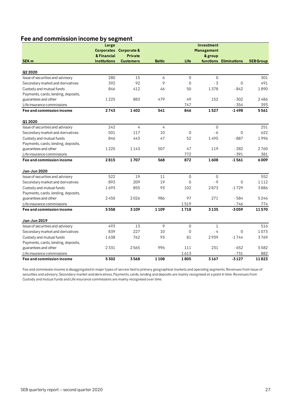# **Fee and commission income by segment**

|                                     | Large               |                        |                |                | Investment   |                        |                  |
|-------------------------------------|---------------------|------------------------|----------------|----------------|--------------|------------------------|------------------|
|                                     |                     | Corporates Corporate & |                |                | Management   |                        |                  |
|                                     | & Financial         | <b>Private</b>         |                |                | & group      |                        |                  |
| <b>SEK m</b>                        | <b>Institutions</b> | <b>Customers</b>       | <b>Baltic</b>  | Life           |              | functions Eliminations | <b>SEB Group</b> |
|                                     |                     |                        |                |                |              |                        |                  |
| Q2 2020                             |                     |                        |                |                |              |                        |                  |
| Issue of securities and advisory    | 280                 | 15                     | 6              | $\mathbf 0$    | $\mathbf 0$  |                        | 301              |
| Secondary market and derivatives    | 392                 | 92                     | 9              | $\Omega$       | $-3$         | $\mathbf 0$            | 491              |
| Custody and mutual funds            | 846                 | 412                    | 46             | 50             | 1378         | $-842$                 | 1890             |
| Payments, cards, lending, deposits, |                     |                        |                |                |              |                        |                  |
| guarantees and other                | 1225                | 883                    | 479            | 49             | 152          | $-302$                 | 2486             |
| Life insurance commissions          |                     |                        |                | 747            |              | $-354$                 | 393              |
| Fee and commission income           | 2743                | 1402                   | 541            | 846            | 1527         | $-1498$                | 5561             |
| Q1 2020                             |                     |                        |                |                |              |                        |                  |
| Issue of securities and advisory    | 242                 | $\overline{4}$         | $\overline{4}$ |                | $\Omega$     |                        | 251              |
| Secondary market and derivatives    | 501                 | 117                    | 10             | $\mathbf 0$    | $-6$         | $\mathbf 0$            | 622              |
| Custody and mutual funds            | 846                 | 443                    | 47             | 52             | 1495         | $-887$                 | 1996             |
| Payments, cards, lending, deposits, |                     |                        |                |                |              |                        |                  |
| guarantees and other                | 1225                | 1143                   | 507            | 47             | 119          | $-282$                 | 2760             |
| Life insurance commissions          |                     |                        |                | 772            |              | $-391$                 | 381              |
| Fee and commission income           | 2815                | 1707                   | 568            | 872            | 1608         | $-1561$                | 6009             |
| <b>Jan-Jun 2020</b>                 |                     |                        |                |                |              |                        |                  |
| Issue of securities and advisory    | 522                 | 19                     | 11             | 0              | $\mathbf 0$  |                        | 552              |
| Secondary market and derivatives    | 893                 | 209                    | 19             | 0              | $-9$         | $\mathbf 0$            | 1112             |
| Custody and mutual funds            | 1693                | 855                    | 93             | 102            | 2873         | $-1729$                | 3886             |
| Payments, cards, lending, deposits, |                     |                        |                |                |              |                        |                  |
| guarantees and other                | 2450                | 2026                   | 986            | 97             | 271          | $-584$                 | 5246             |
| Life insurance commissions          |                     |                        |                | 1519           |              | $-746$                 | 774              |
| Fee and commission income           | 5558                | 3109                   | 1109           | 1718           | 3135         | -3059                  | 11570            |
| Jan-Jun 2019                        |                     |                        |                |                |              |                        |                  |
| Issue of securities and advisory    | 493                 | 13                     | 9              | $\overline{0}$ | $\mathbf{1}$ |                        | 516              |
| Secondary market and derivatives    | 839                 | 227                    | 10             | $\mathbf 0$    | $-4$         | $\mathbf 0$            | 1073             |
| Custody and mutual funds            | 1638                | 762                    | 93             | 81             | 2939         | $-1744$                | 3769             |
| Payments, cards, lending, deposits, |                     |                        |                |                |              |                        |                  |
| guarantees and other                | 2331                | 2565                   | 996            | 111            | 231          | $-652$                 | 5582             |
| Life insurance commissions          |                     |                        |                | 1613           |              | $-731$                 | 882              |
| Fee and commission income           | 5302                | 3568                   | 1108           | 1805           | 3167         | $-3127$                | 11823            |

Fee and commission income is disaggregated in major types of service tied to primary geographical markets and operating segments. Revenues from Issue of securities and advisory, Secondary market and derivatives, Payments, cards, lending and deposits are mainly recognised at a point in time. Revenues from Custody and mutual funds and Life insurance commissions are mainly recognised over time.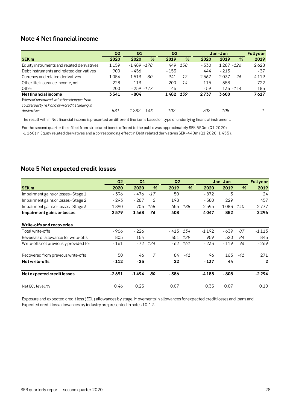# <span id="page-27-0"></span>**Note 4 Net financial income**

|                                              | Q <sub>2</sub> | Q1            |     | Q <sub>2</sub> |               |        | Jan-Jun |               | <b>Full year</b> |
|----------------------------------------------|----------------|---------------|-----|----------------|---------------|--------|---------|---------------|------------------|
| <b>SEK m</b>                                 | 2020           | 2020          | %   | 2019           | $\frac{9}{6}$ | 2020   | 2019    | $\frac{9}{6}$ | 2019             |
| Equity instruments and related derivatives   | 1159           | $-1489 - 178$ |     | 449            | 158           | $-330$ | 1 2 8 7 | $-126$        | 2628             |
| Debt instruments and related derivatives     | 900            | - 456         |     | $-153$         |               | 444    | $-213$  |               | $-37$            |
| Currency and related derivatives             | 1054           | 1513          | -30 | 941            | 12            | 2567   | 2037    | 26            | 4119             |
| Other life insurance income, net             | 228            | $-113$        |     | 200            | 14            | 115    | 353     |               | 722              |
| Other                                        | 200            | $-259 - 177$  |     | 46             |               | $-59$  |         | 135 - 144     | 185              |
| <b>Netfinancial income</b>                   | 3541           | - 804         |     | 1482           | 139           | 2737   | 3600    |               | 7617             |
| Whereof unrealized valuation changes from    |                |               |     |                |               |        |         |               |                  |
| counterparty risk and own credit standing in |                |               |     |                |               |        |         |               |                  |
| derivatives                                  | 581            | $-1282 - 145$ |     | $-102$         |               | - 702  | - 108   |               | - 1              |

The result within Net financial income is presented on different line items based on type of underlying financial instrument.

For the second quarter the effect from structured bonds offered to the public was approximately SEK 550m (Q1 2020: -1 160) in Equity related derivatives and a corresponding effect in Debt related derivatives SEK -440m (Q1 2020: 1 455).

# <span id="page-27-1"></span>**Note 5 Net expected credit losses**

|                                        | Q <sub>2</sub> | Q1      |                | Q2    |               |         | Jan-Jun |               | <b>Full year</b> |
|----------------------------------------|----------------|---------|----------------|-------|---------------|---------|---------|---------------|------------------|
| <b>SEK m</b>                           | 2020           | 2020    | %              | 2019  | $\frac{9}{6}$ | 2020    | 2019    | $\frac{9}{6}$ | 2019             |
| Impairment gains or losses - Stage 1   | - 396          | - 476   | $-17$          | 50    |               | $-872$  | 3       |               | 24               |
| Impairment gains or losses - Stage 2   | $-293$         | $-287$  | $\overline{2}$ | 198   |               | $-580$  | 229     |               | 457              |
| Impairment gains or losses - Stage 3   | $-1890$        | $-705$  | 168            | - 655 | 188           | $-2595$ | $-1083$ | <i>140</i>    | $-2777$          |
| Impairment gains or losses             | $-2579$        | $-1468$ | 76             | - 408 |               | -4047   | $-852$  |               | $-2296$          |
| Write-offs and recoveries              |                |         |                |       |               |         |         |               |                  |
| Total write-offs                       | - 966          | $-226$  |                | - 413 | 134           | $-1192$ | $-639$  | 87            | $-1113$          |
| Reversals of allowance for write-offs  | 805            | 154     |                | 351   | 129           | 959     | 520     | 84            | 845              |
| Write-offs not previously provided for | $-161$         |         | $-72$ 124      | - 62  | 161           | $-233$  | $-119$  | 96            | $-269$           |
| Recovered from previous write-offs     | 50             | 46      | 7              | 84    | $-41$         | 96      | 163     | $-41$         | 271              |
| Net write-offs                         | $-112$         | $-25$   |                | 22    |               | $-137$  | 44      |               | $\overline{2}$   |
| Net expected credit losses             | $-2691$        | $-1494$ | 80             | - 386 |               | $-4185$ | $-808$  |               | $-2294$          |
| Net ECL level, %                       | 0.46           | 0.25    |                | 0.07  |               | 0.35    | 0.07    |               | 0.10             |

Exposure and expected credit loss (ECL) allowances by stage, Movements in allowances for expected credit losses and loans and Expected credit loss allowances by industry are presented in notes 10-12.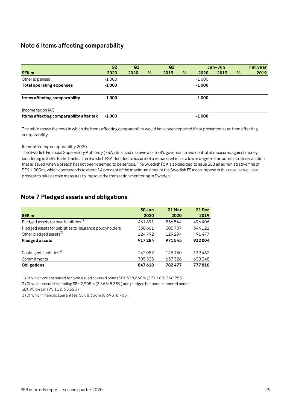# <span id="page-28-0"></span>**Note 6 Items affecting comparability**

|                                         | Q <sub>2</sub> | Q1   |   | Q <sub>2</sub> |   | Jan-Jun |      |   | <b>Fullyear</b> |
|-----------------------------------------|----------------|------|---|----------------|---|---------|------|---|-----------------|
| <b>SEK m</b>                            | 2020           | 2020 | % | 2019           | % | 2020    | 2019 | % | 2019            |
| Other expenses                          | $-1000$        |      |   |                |   | $-1000$ |      |   |                 |
| <b>Total operating expenses</b>         | $-1000$        |      |   |                |   | $-1000$ |      |   |                 |
|                                         |                |      |   |                |   |         |      |   |                 |
| Items affecting comparability           | $-1000$        |      |   |                |   | $-1000$ |      |   |                 |
|                                         |                |      |   |                |   |         |      |   |                 |
| Income tax on IAC                       |                |      |   |                |   |         |      |   |                 |
| Items affecting comparability after tax | $-1000$        |      |   |                |   | $-1000$ |      |   |                 |

The table shows the rows in which the Items affecting comparability would have been reported if not presented as an item affecting comparability.

#### Items affecting comparability 2020

The Swedish Financial Supervisory Authority (FSA) finalised its review of SEB's governance and control of measures against money laundering in SEB's Baltic banks. The Swedish FSA decided to issue SEB a remark, which is a lower degree of an administrative sanction that is issued when a breach has not been deemed to be serious. The Swedish FSA also decided to issue SEB an administrative fine of SEK 1,000m, which corresponds to about 14 per cent of the maximum amount the Swedish FSA can impose in this case, as well as a precept to take certain measures to improve the transaction monitoring in Sweden.

## <span id="page-28-1"></span>**Note 7 Pledged assets and obligations**

| <b>SEK m</b>                                              | 30 Jun<br>2020 | 31 Mar<br>2020 | <b>31 Dec</b><br>2019 |
|-----------------------------------------------------------|----------------|----------------|-----------------------|
|                                                           |                |                |                       |
| Pledged assets for own liabilities $^{1)}$                | 461891         | 536544         | 496406                |
| Pledged assets for liabilities to insurance policyholders | 330601         | 305707         | 344121                |
| Other pledged assets $^{2)}$                              | 124792         | 129294         | 91477                 |
| <b>Pledged assets</b>                                     | 917284         | 971545         | 932004                |
|                                                           |                |                |                       |
| Contingent liabilities <sup>3)</sup>                      | 142082         | 145150         | 139462                |
| Commitments                                               | 705535         | 637328         | 638348                |
| <b>Obligations</b>                                        | 847618         | 782477         | 777810                |

1) Of which collateralised for own issued covered bonds SEK 338,668m (377,189; 368,955).

2) Of which securities lending SEK 2,905m (3,668; 5,389) and pledged but unencumbered bonds

SEK 95,641m (95,112; 58,523).

3) Of which financial guarantees SEK 8,356m (8,693; 8,705).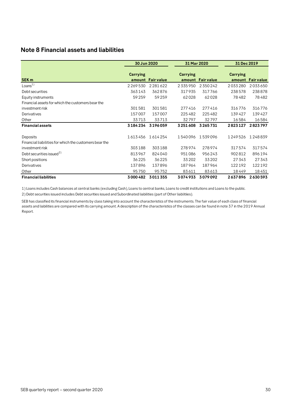# <span id="page-29-0"></span>**Note 8 Financial assets and liabilities**

|                                                                    | 30 Jun 2020     |                   | 31 Mar 2020     |                   | 31 Dec 2019        |                   |
|--------------------------------------------------------------------|-----------------|-------------------|-----------------|-------------------|--------------------|-------------------|
| <b>SEK m</b>                                                       | <b>Carrying</b> | amount Fair value | <b>Carrying</b> | amount Fair value | Carrying<br>amount | <b>Fair value</b> |
| Loans <sup>1</sup>                                                 | 2269530         | 2281622           | 2335950         | 2350242           | 2033280            | 2033650           |
| Debt securities                                                    | 363143          | 362876            | 317935          | 317766            | 238578             | 238878            |
| Equity instruments                                                 | 59259           | 59259             | 62028           | 62028             | 78482              | 78482             |
| Financial assets for which the customers bear the                  |                 |                   |                 |                   |                    |                   |
| investment risk                                                    | 301581          | 301581            | 277416          | 277416            | 316776             | 316776            |
| Derivatives                                                        | 157007          | 157007            | 225482          | 225482            | 139427             | 139427            |
| Other                                                              | 33713           | 33713             | 32797           | 32797             | 16584              | 16584             |
| <b>Financial assets</b>                                            | 3184234         | 3196059           | 3251608         | 3265731           | 2823127            | 2823797           |
| Deposits<br>Financial liabilities for which the customers bear the | 1613456         | 1614254           | 1540096         | 1539096           | 1249526            | 1248839           |
| investment risk                                                    | 303188          | 303188            | 278974          | 278974            | 317574             | 317574            |
| Debt securities issued <sup>2)</sup>                               | 813967          | 824040            | 951086          | 956243            | 902812             | 896194            |
| Short positions                                                    | 36225           | 36225             | 33 20 2         | 33202             | 27343              | 27343             |
| Derivatives                                                        | 137896          | 137896            | 187964          | 187964            | 122192             | 122192            |
| Other                                                              | 95750           | 95752             | 83611           | 83613             | 18449              | 18451             |
| <b>Financial liabilities</b>                                       | 3000482         | 3011355           | 3074933         | 3079092           | 2637896            | 2630593           |

1) Loans includes Cash balances at central banks (excluding Cash), Loans to central banks, Loans to credit institutions and Loans to the public.

2) Debt securities issued includes Debt securities issued and Subordinated liabilities (part of Other liablitiies).

SEB has classified its financial instruments by class taking into account the characteristics of the instruments. The fair value of each class of financial assets and liabilities are compared with its carrying amount. A description of the characteristics of the classes can be found in note 37 in the 2019 Annual Report.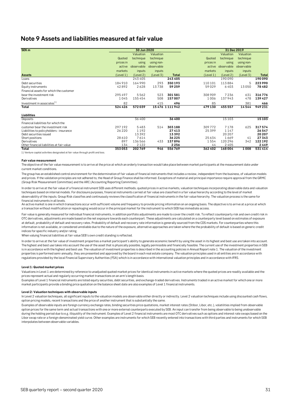## <span id="page-30-0"></span>**Note 9 Assets and liabilities measured at fair value**

| SEK <sub>m</sub>                          |           | 30 Jun 2020 |            |               |           | 31 Dec 2019 |            |              |
|-------------------------------------------|-----------|-------------|------------|---------------|-----------|-------------|------------|--------------|
|                                           |           | Valuation   | Valuation  |               |           | Valuation   | Valuation  |              |
|                                           |           |             |            |               |           |             |            |              |
|                                           | Quoted    | technique   | technique  |               | Quoted    | technique   | technique  |              |
|                                           | prices in | using       | using non- |               | prices in | using       | using non- |              |
|                                           | active    | observable  | observable |               | active    | observable  | observable |              |
|                                           | markets   | inputs      | inputs     |               | markets   | inputs      | inputs     |              |
| <b>Assets</b>                             | (Level 1) | (Level 2)   | (Level 3)  | <b>Total</b>  | (Level 1) | (Level 2)   | (Level 3)  | <b>Total</b> |
| Loans                                     |           | 243405      |            | 243405        |           | 190090      |            | 190090       |
| Debt securities                           | 184910    | 164990      | 293        | 350193        | 110101    | 113884      | 5          | 223990       |
| Equity instruments                        | 42892     | 2628        | 13738      | 59259         | 59029     | 6403        | 13050      | 78482        |
| Financial assets for which the customer   |           |             |            |               |           |             |            |              |
| bear the investment risk                  | 295497    | 5562        | 523        | 301581        | 308 909   | 7236        | 631        | 316776       |
| Derivatives                               | 1045      | 155454      | 508        | 157007        | 1006      | 137943      | 478        | 139427       |
| Investment in associates <sup>1)</sup>    | 82        |             | 415        | 496           | 85        |             | 381        | 466          |
| Total                                     | 524 426   | 572039      |            | 15476 1111942 | 479130    | 455 557     | 14544      | 949231       |
| Liabilities                               |           |             |            |               |           |             |            |              |
| <b>Deposits</b>                           |           | 36400       |            | 36400         |           | 15103       |            | 15103        |
| Financial liabilities for which the       |           |             |            |               |           |             |            |              |
| customer bear the investment risk         | 297192    | 5483        | 514        | 303188        | 309772    | 7178        | 625        | 317574       |
| Liabilities to policyholders - insurance  | 26 2 20   | 1192        |            | 27413         | 25399     | 1 1 4 7     |            | 26547        |
| Debt securities issued                    |           | 13392       |            | 13392         |           | 20 20 7     |            | 20207        |
| Short positions                           | 28 610    | 7614        |            | 36225         | 25634     | 1669        | 41         | 27343        |
| Derivatives                               | 897       | 136566      | 433        | 137896        | 1554      | 120296      | 342        | 122192       |
| Other financial liabilities at fair value | 134       | 2122        |            | 2256          | 44        | 2405        |            | 2449         |
| Total                                     | 353053    | 202769      | 946        | 556769        | 362402    | 168004      | 1008       | 531414       |

1) Venture capital activities designated at fair value through profit and loss.

#### **Fair value measurement**

The objective of the fair value measurement is to arrive at the price at which an orderly transaction would take place between market participants at the measurement date under current market conditions.

The group has an established control environment for the determination of fair values of financial instruments that includes a review, independent from the business, of valuation models and prices. If the validation principles are not adhered to, the Head of Group Finance shall be informed. Exceptions of material and principal importance require approval from the GRMC (Group Risk Measurement Committee) and the ARC (Accounting Reporting Committee).

In order to arrive at the fair value of a financial instrument SEB uses different methods; quoted prices in active markets, valuation techniques incorporating observable data and valuation techniques based on internal models. For disclosure purposes, financial instruments carried at fair value are classified in a fair value hierarchy according to the level of market observability of the inputs. Group Risk classifies and continuously reviews the classification of financial instruments in the fair value hierarchy. The valuation process is the same for financial instruments in all levels.

An active market is one in which transactions occur with sufficient volume and frequency to provide pricing information on an ongoing basis. The objective is to arrive at a price at which a transaction without modification or repackaging would occur in the principal market for the instrument to which SEB has immediate access.

Fair value is generally measured for individual financial instruments, in addition portfolio adjustments are made to cover the credit risk. To reflect counterparty risk and own credit risk in OTC derivatives, adjustments are made based on the net exposure towards each counterpart. These adjustments are calculated on a counterparty level based on estimates of exposure at default, probability of default and recovery rates. Probability of default and recovery rate information is generally sourced from the CDS markets. For counterparties where this information is not available, or considered unreliable due to the nature of the exposure, alternative approaches are taken where the the probability of default is based on generic credit indices for specific industry and/or rating.

When valuing financial liabilities at fair value SEB's own credit standing is reflected.

In order to arrive at the fair value of investment properties a market participant's ability to generate economic benefit by using the asset in its highest and best use are taken into account. The highest and best use takes into account the use of the asset that is physically possible, legally permissible and financially feasible. The current use of the investment properties in SEB is in accordance with the highest and best use. The valuation of investment properties is described in the accounting policies in Annual Report note 1. The valuation of the investment properties is performed semi-annually, they are presented and approved by the board in each real estate company. The valuation principles used in all entities are in accordance with regulations provided by the local Financial Supervisory Authorities (FSA) which is in accordance with international valuation principles and in accordance with IFRS.

#### **Level 1: Quoted market prices**

Valuations in Level 1 are determined by reference to unadjusted quoted market prices for identical instruments in active markets where the quoted prices are readily available and the prices represent actual and regularly occurring market transactions on an arm's length basis.

Examples of Level 1 financial instruments are listed equity securities, debt securities, and exchange-traded derivatives. Instruments traded in an active market for which one or more market participants provide a binding price quotation on the balance sheet date are also examples of Level 1 financial instruments.

#### **Level 2: Valuation techniques with observable inputs**

In Level 2 valuation techniques, all significant inputs to the valuation models are observable either directly or indirectly. Level 2 valuation techniques include using discounted cash flows, option pricing models, recent transactions and the price of another instrument that is substantially the same.

Examples of observable inputs are foreign currency exchange rates, binding securities price quotations, market interest rates (Stibor, Libor, etc.), volatilities implied from observable option prices for the same term and actual transactions with one or more external counterparts executed by SEB. An input can transfer from being observable to being unobservable during the holding period due to e.g. illiquidity of the instrument. Examples of Level 2 financial instruments are most OTC derivatives such as options and interest rate swaps based on the Libor swap rate or a foreign-denominated yield curve. Other examples are instruments for which SEB recently entered into transactions with third parties and instruments for which SEB interpolates between observable variables.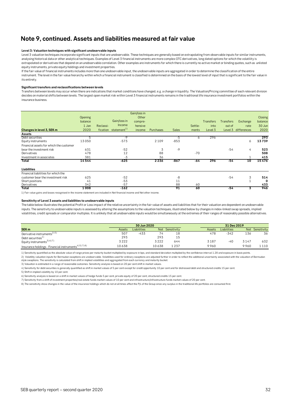# **Note 9, continued. Assets and liabilities measured at fair value**

#### **Level 3: Valuation techniques with significant unobservable inputs**

Level 3 valuation techniques incorporate significant inputs that are unobservable. These techniques are generally based on extrapolating from observable inputs for similar instruments, analysing historical data or other analytical techniques. Examples of Level 3 financial instruments are more complex OTC derivatives, long dated options for which the volatility is extrapolated or derivatives that depend on an unobservable correlation. Other examples are instruments for which there is currently no active market or binding quotes, such as unlisted equity instruments, private equity holdings and investment properties.

If the fair value of financial instruments includes more than one unobservable input, the unobservable inputs are aggregated in order to determine the classification of the entire instrument. The level in the fair value hierarchy within which a financial instrument is classified is determined on the basis of the lowest level of input that is significant to the fair value in its entirety.

#### **Significant transfers and reclassifications between levels**

Transfers between levels may occur when there are indications that market conditions have changed, e.g. a change in liquidity. The Valuation/Pricing committee of each relevant division decides on material shifts between levels. The largest open market risk within Level 3 financial instruments remains in the traditional life insurance investment portfolios within the insurance business.

|                                         |         |                                  |              | Gain/loss in  |           |              |         |                  |                  |             |                |
|-----------------------------------------|---------|----------------------------------|--------------|---------------|-----------|--------------|---------|------------------|------------------|-------------|----------------|
|                                         | Opening |                                  |              | Other         |           |              |         |                  |                  |             | <b>Closing</b> |
|                                         | balance |                                  | Gain/loss in | compre-       |           |              |         | <b>Transfers</b> | <b>Transfers</b> | Exchange    | balance        |
|                                         | 1 Jan   | Reclassi-                        | Income       | hensive       |           |              | Settle- | into             | out of           | rate        | 30 Jun         |
| Changes in level 3, SEK m               | 2020    | fication statement <sup>1)</sup> |              | <i>income</i> | Purchases | <b>Sales</b> | ments   | Level 3          | Level 3          | differences | 2020           |
| Assets                                  |         |                                  |              |               |           |              |         |                  |                  |             |                |
| Debt securities                         |         |                                  | -9           |               |           | -5           | Ô       | 296              |                  |             | 293            |
| Equity instruments                      | 13050   |                                  | $-573$       |               | 2 1 0 9   | $-853$       |         |                  |                  | 6           | 13739          |
| Financial assets for which the customer |         |                                  |              |               |           |              |         |                  |                  |             |                |
| bear the investment risk                | 631     |                                  | $-52$        |               | 3         | $-9$         |         |                  | $-54$            | 4           | 523            |
| Derivatives                             | 478     |                                  | 12           |               | 88        |              | $-70$   |                  |                  |             | 508            |
| Investment in associates                | 381     |                                  | $-3$         |               | 36        |              |         |                  |                  |             | 415            |
| Total                                   | 14544   |                                  | $-625$       |               | 2 2 3 6   | -867         | $-64$   | 296              | $-54$            | 10          | 15476          |
| Liabilities                             |         |                                  |              |               |           |              |         |                  |                  |             |                |
| Financial liabilities for which the     |         |                                  |              |               |           |              |         |                  |                  |             |                |
| customer bear the investment risk       | 625     |                                  | $-52$        |               |           | $-8$         |         |                  | $-54$            | 3           | 514            |
| Short positions                         | 41      |                                  | $-53$        |               |           | 11           |         |                  |                  |             | $\mathbf 0$    |
| Derivatives                             | 342     |                                  | $-57$        |               |           | 88           | 60      |                  |                  |             | 433            |
| Total                                   | 1008    |                                  | $-162$       |               |           | 91           | 60      |                  | $-54$            |             | 946            |

1) Fair value gains and losses recognised in the income statement are included in Net financial income and Net other income.

#### **Sensitivity of Level 3 assets and liabilities to unobservable inputs**

The table below illustrates the potential Profit or Loss impact of the relative uncertainty in the fair value of assets and liabilities that for their valuation are dependent on unobservable inputs. The sensitivity to unobservable inputs is assessed by altering the assumptions to the valuation techniques, illustrated below by changes in index-linked swap spreads, implied volatilities, credit spreads or comparator multiples. It is unlikely that all unobservable inputs would be simultaneously at the extremes of their ranges of reasonably possible alternatives.

|                                                                   |               | 30 Jun 2020 |       |                 | 31 Dec 2019 |             |            |             |
|-------------------------------------------------------------------|---------------|-------------|-------|-----------------|-------------|-------------|------------|-------------|
| SEK <sub>m</sub>                                                  | <b>Assets</b> | Liabilities |       | Net Sensitivity | Assets      | Liabilities | <b>Net</b> | Sensitivity |
| Derivative instruments <sup>2) 5)</sup>                           | 507           | $-433$      | 74    | 18              | 478         | $-342$      | 136        | 36          |
| Debt securities <sup>1)</sup>                                     | 293           |             | 293   | 15              |             |             |            |             |
| Equity instruments <sup>3)6)7)</sup>                              | 3222          |             | 3222  | 644             | 3187        | -40         | 3147       | 632         |
| Insurance holdings - Financial instruments <sup>4) 5) 7) 8)</sup> | 10638         |             | 10638 | 1 2 3 7         | 9960        |             | 9960       | .110        |

1) Sensitivity quantified as the absolute value of range prices per maturity bucket multiplied by exposure in bps, and standard deviation multiplied by the confidence interval 1.28 and exposure in basis points.

2) Volatility valuation inputs for Bermudan swaptions are unobservable. Volatilities used for ordinary swaptions are adjusted further in order to reflect the additional uncertainty associated with the valuation of Bermudan

3) Valuation is estimated in a range of reasonable outcomes. Sensitivity analysis is based on 20 per cent shift in market values.

4) Sensitivity for debt securities is generally quantified as shift in market values of 5 per cent except for credit opportunity 10 per cent and for distressed debt and structured credits 15 per cent.

5) Shift in implied volatility by 10 per cent.

6) Sensitivity analysis is based on a shift in market values of hedge funds 5 per cent, private equity of 20 per cent, structured credits 15 per cent.

7) Sensitivity from a shift of investment properties/real estate funds market values of 10 per cent and infrastructure/infrastructure funds market values of 20 per cent.

8) The sensitivity show changes in the value of the insurance holdings which do not at all times affect the P/L of the Group since any surplus in the traditional life portfolios are consumed first.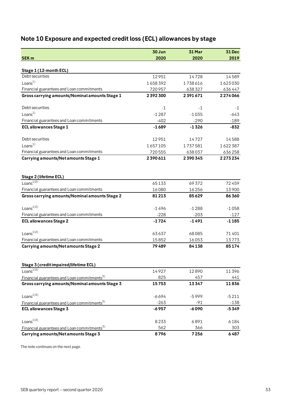# <span id="page-32-0"></span>**Note 10 Exposure and expected credit loss (ECL) allowances by stage**

|                                                         | 30 Jun  | 31 Mar  | <b>31 Dec</b> |
|---------------------------------------------------------|---------|---------|---------------|
| <b>SEK m</b>                                            | 2020    | 2020    | 2019          |
| Stage 1 (12-month ECL)                                  |         |         |               |
| Debt securities                                         | 12951   | 14728   | 14589         |
| Loans <sup>1</sup>                                      | 1658392 | 1738616 | 1623030       |
| Financial guarantees and Loan commitments               | 720957  | 638327  | 636447        |
| Gross carrying amounts/Nominal amounts Stage 1          | 2392300 | 2391671 | 2274066       |
| Debt securities                                         | $-1$    | -1      | $-1$          |
| Loans $1)$                                              | $-1287$ | $-1035$ | $-643$        |
| Financial guarantees and Loan commitments               | $-402$  | $-290$  | $-189$        |
| <b>ECL allowances Stage 1</b>                           | $-1689$ | $-1326$ | $-832$        |
| Debt securities                                         | 12951   | 14727   | 14588         |
| Loans <sup>1</sup>                                      | 1657105 | 1737581 | 1622387       |
| Financial guarantees and Loan commitments               | 720555  | 638037  | 636258        |
| Carrying amounts/Net amounts Stage 1                    | 2390611 | 2390345 | 2273234       |
|                                                         |         |         |               |
| Stage 2 (lifetime ECL)                                  |         |         |               |
| Loans <sup>1)2)</sup>                                   | 65133   | 69372   | 72459         |
| Financial guarantees and Loan commitments               | 16080   | 16256   | 13900         |
| Gross carrying amounts/Nominal amounts Stage 2          | 81213   | 85629   | 86360         |
| Loans $^{1/2)}$                                         | $-1496$ | $-1288$ | $-1058$       |
| Financial guarantees and Loan commitments               | $-228$  | $-203$  | $-127$        |
| <b>ECL allowances Stage 2</b>                           | $-1724$ | $-1491$ | $-1185$       |
| Loans $^{1/2)}$                                         | 63637   | 68085   | 71401         |
| Financial guarantees and Loan commitments               | 15852   | 16053   | 13773         |
| <b>Carrying amounts/Net amounts Stage 2</b>             | 79489   | 84138   | 85174         |
|                                                         |         |         |               |
| Stage 3 (credit impaired/lifetime ECL)                  |         |         |               |
| Loans <sup><math>1)\overline{3)}</math></sup>           | 14927   | 12890   | 11396         |
| Financial guarantees and Loan commitments <sup>3)</sup> | 825     | 457     | 441           |
| Gross carrying amounts/Nominal amounts Stage 3          | 15753   | 13347   | 11836         |
| Loans <sup>13)</sup>                                    | $-6694$ | $-5999$ | $-5211$       |
| Financial guarantees and Loan commitments <sup>3)</sup> | $-263$  | -91     | $-138$        |
| <b>ECL allowances Stage 3</b>                           | $-6957$ | -6090   | $-5349$       |
| Loans <sup>13)</sup>                                    | 8233    | 6891    | 6184          |
| Financial guarantees and Loan commitments <sup>3)</sup> | 562     | 366     | 303           |
| Carrying amounts/Net amounts Stage 3                    | 8796    | 7256    | 6487          |

The note continues on the next page.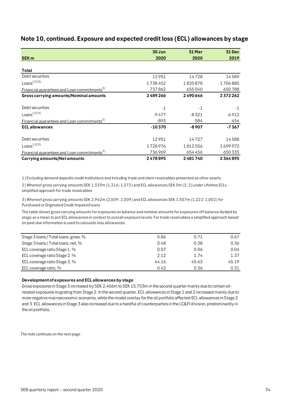|                                                         | 30 Jun   | 31 Mar  | <b>31 Dec</b> |
|---------------------------------------------------------|----------|---------|---------------|
| <b>SEK m</b>                                            | 2020     | 2020    | 2019          |
|                                                         |          |         |               |
| Total                                                   |          |         |               |
| Debt securities                                         | 12951    | 14728   | 14589         |
| Loans $^{1/2}$ <sup>3)</sup>                            | 1738452  | 1820878 | 1706885       |
| Financial guarantees and Loan commitments <sup>5)</sup> | 737862   | 655040  | 650788        |
| Gross carrying amounts/Nominal amounts                  | 2489266  | 2490646 | 2372262       |
|                                                         |          |         |               |
| Debt securities                                         | $-1$     | $-1$    | $-1$          |
| Loans <sup>1/2/3</sup>                                  | $-9477$  | $-8321$ | $-6912$       |
| Financial guarantees and Loan commitments <sup>5)</sup> | $-893$   | $-584$  | -454          |
| <b>ECL allowances</b>                                   | $-10370$ | $-8907$ | $-7367$       |
| Debt securities                                         | 12951    | 14727   | 14588         |
| Loans $^{1/2}$ <sup>3)</sup>                            | 1728976  | 1812556 | 1699972       |
| Financial guarantees and Loan commitments <sup>5)</sup> | 736969   | 654456  | 650335        |
| Carrying amounts/Net amounts                            | 2478895  | 2481740 | 2364895       |

# **Note 10, continued. Exposure and expected credit loss (ECL) allowances by stage**

1) Excluding demand deposits credit institutions and including trade and client receivables presented as other assets.

2) Whereof gross carrying amounts SEK 1,339m (1,316; 1,372) and ECL allowances SEK 0m (2; 2) under Lifetime ECLs simplified approach for trade receivables.

3) Whereof gross carrying amounts SEK 2,962m (2,509; 2,309) and ECL allowances SEK 1,507m (1,222; 1,002) for Purchased or Originated Credit Impaired loans.

The table shows gross carrying amounts for exposures on balance and nominal amounts for exposures off-balance divided by stage as a mean to put ECL allowances in context to overall exposure levels. For trade receivables a simplified approach based on past-due information is used to calculate loss allowances.

| Stage 3 loans / Total loans, gross, % | 0.86  | 0.71  | 0.67  |
|---------------------------------------|-------|-------|-------|
| Stage 3 loans / Total loans, net, %   | 0.48  | 0.38  | 0.36  |
| ECL coverage ratio Stage 1, %         | 0.07  | 0.06  | 0.04  |
| ECL coverage ratio Stage 2, %         | 2.12  | 1.74  | 1.37  |
| ECL coverage ratio Stage 3, %         | 44.16 | 45.63 | 45.19 |
| ECL coverage ratio, %                 | 0.42  | 0.36  | 0.31  |

#### **Development of exposures and ECL allowances by stage**

Gross exposures in Stage 3 increased by SEK 2,406m to SEK 15,753m in the second quarter mainly due to certain oilrelated exposures migrating from Stage 2. In the second quarter, ECL allowances in Stage 1 and 2 increased mainly due to more negative macroeconomic scenarios, while the model overlay for the oil portfolio affected ECL allowances in Stage 2 and 3. ECL allowances in Stage 3 also increased due to a handful of counterparties in the LC&FI division, predominantly in the oil portfolio.

The note continues on the next page.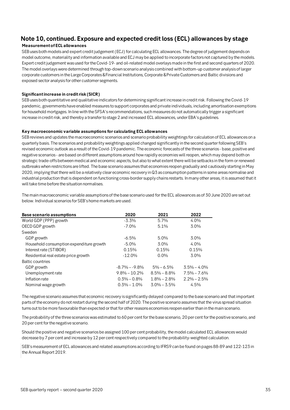# **Note 10, continued. Exposure and expected credit loss (ECL) allowances by stage**

#### **Measurement of ECL allowances**

SEB uses both models and expert credit judgement (ECJ) for calculating ECL allowances. The degree of judgement depends on model outcome, materiality and information available and ECJ may be applied to incorporate factors not captured by the models. Expert credit judgement was used for the Covid-19- and oil-related model overlays made in the first and second quarters of 2020. The model overlays were determined through top-down scenario analysis combined with bottom-up customer analysis of larger corporate customers in the Large Corporates &Financial Institutions, Corporate &Private Customers and Baltic divisions and exposed sector analysis for other customer segments.

#### **Significant increase in credit risk (SICR)**

SEB uses both quantitative and qualitative indicators for determining significant increase in credit risk. Following the Covid-19 pandemic, governments have enabled measures to support corporates and private individuals, including amortisation exemptions for household mortgages. In line with the SFSA's recommendations, such measures do not automatically trigger a significant increase in credit risk, and thereby a transfer to stage 2 and increased ECL allowances, under EBA's guidelines.

#### **Key macroeconomic variable assumptions for calculating ECL allowances**

SEB reviews and updates the macroeconomic scenarios and scenario probability weightings for calculation of ECL allowances on a quarterly basis. The scenarios and probability weightings applied changed significantly in the second quarter following SEB's revised economic outlook as a result of the Covid-19 pandemic. The economic forecasts of the three scenarios - base, positive and negative scenarios - are based on different assumptions around how rapidly economies will reopen, which may depend both on strategic trade-offs between medical and economic aspects, but also to what extent there will be setbacks in the form or renewed outbreaks when restrictions are lifted. The base scenario assumes that economies reopen gradually and cautiously starting in May 2020, implying that there will be a relatively clear economic recovery in Q3 as consumption patterns in some areas normalise and industrial production that is dependent on functioning cross-border supply chains restarts. In many other areas, it is assumed that it will take time before the situation normalises.

The main macroeconomic variable assumptions of the base scenario used for the ECL allowances as of 30 June 2020 are set out below. Individual scenarios for SEB's home markets are used.

| <b>Base scenario assumptions</b>         | 2020              | 2021            | 2022            |
|------------------------------------------|-------------------|-----------------|-----------------|
| World GDP (PPP) growth                   | $-3.3\%$          | $5.7\%$         | 4.0%            |
| OECD GDP growth                          | $-7.0%$           | 5.1%            | 3.0%            |
| Sweden                                   |                   |                 |                 |
| GDP growth                               | $-6.5\%$          | $5.0\%$         | $3.0\%$         |
| Household consumption expenditure growth | $-5.0\%$          | $3.0\%$         | $4.0\%$         |
| Interest rate (STIBOR)                   | 0.15%             | 0.15%           | 0.15%           |
| Residential real estate price growth     | $-12.0%$          | $0.0\%$         | 3.0%            |
| Baltic countries                         |                   |                 |                 |
| GDP growth                               | $-8.7\% - -9.8\%$ | $5\% - 6.5\%$   | $3.5\% - 4.0\%$ |
| Unemployment rate                        | $9.8\% - 10.2\%$  | $8.5\% - 8.8\%$ | $7.5\% - 7.6\%$ |
| Inflation rate                           | $0.3\% - 0.8\%$   | $1.8\% - 2.8\%$ | $2.2\% - 2.5\%$ |
| Nominal wage growth                      | $0.3\% - 1.0\%$   | $3.0\% - 3.5\%$ | 4.5%            |

The negative scenario assumes that economic recovery is significantly delayed compared to the base scenario and that important parts of the economy do not restart during the second half of 2020. The positive scenario assumes that the virus spread situation turns out to be more favourable than expected or that for other reasons economies reopen earlier than in the main scenario.

The probability of the three scenarios was estimated to 60 per cent for the base scenario, 20 per cent for the positive scenario, and 20 per cent for the negative scenario.

Should the positive and negative scenarios be assigned 100 per cent probability, the model calculated ECL allowances would decrease by 7 per cent and increase by 12 per cent respectively compared to the probability-weighted calculation.

SEB's measurement of ECL allowances and related assumptions according to IFRS9 can be found on pages 88-89 and 122-123 in the Annual Report 2019.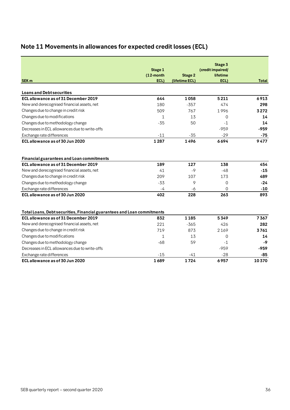# <span id="page-35-0"></span>**Note 11 Movements in allowances for expected credit losses (ECL)**

|                                                                         |                         |                | Stage 3                       |       |
|-------------------------------------------------------------------------|-------------------------|----------------|-------------------------------|-------|
|                                                                         | Stage 1<br>$(12$ -month | <b>Stage 2</b> | (credit impaired/<br>lifetime |       |
| <b>SEK m</b>                                                            | ECL)                    | (lifetime ECL) | ECL)                          | Total |
|                                                                         |                         |                |                               |       |
| <b>Loans and Debt securities</b>                                        |                         |                |                               |       |
| ECL allowance as of 31 December 2019                                    | 644                     | 1058           | 5211                          | 6913  |
| New and derecognised financial assets, net                              | 180                     | $-357$         | 474                           | 298   |
| Changes due to change in credit risk                                    | 509                     | 767            | 1996                          | 3272  |
| Changes due to modifications                                            | 1                       | 13             | 0                             | 14    |
| Changes due to methodology change                                       | $-35$                   | 50             | $-1$                          | 14    |
| Decreases in ECL allowances due to write-offs                           |                         |                | $-959$                        | -959  |
| Exchange rate differences                                               | $-11$                   | $-35$          | $-29$                         | $-75$ |
| ECL allowance as of 30 Jun 2020                                         | 1287                    | 1496           | 6694                          | 9477  |
|                                                                         |                         |                |                               |       |
| <b>Financial guarantees and Loan commitments</b>                        |                         |                |                               |       |
| ECL allowance as of 31 December 2019                                    | 189                     | 127            | 138                           | 454   |
| New and derecognised financial assets, net                              | 41                      | $-9$           | $-48$                         | $-15$ |
| Changes due to change in credit risk                                    | 209                     | 107            | 173                           | 489   |
| Changes due to methodology change                                       | $-33$                   | 9              | $\overline{0}$                | $-24$ |
| Exchange rate differences                                               | $-4$                    | -6             | $\Omega$                      | $-10$ |
| ECL allowance as of 30 Jun 2020                                         | 402                     | 228            | 263                           | 893   |
|                                                                         |                         |                |                               |       |
| Total Loans, Debt securities, Financial guarantees and Loan commitments |                         |                |                               |       |
| ECL allowance as of 31 December 2019                                    | 832                     | 1185           | 5349                          | 7367  |
| New and derecognised financial assets, net                              | 221                     | $-365$         | 426                           | 282   |
| Changes due to change in credit risk                                    | 719                     | 873            | 2169                          | 3761  |
| Changes due to modifications                                            | 1                       | 13             | 0                             | 14    |
| Changes due to methodology change                                       | $-68$                   | 59             | $-1$                          | $-9$  |
| Decreases in ECL allowances due to write-offs                           |                         |                | $-959$                        | -959  |
| Exchange rate differences                                               | $-15$                   | $-41$          | $-28$                         | -85   |
| ECL allowance as of 30 Jun 2020                                         | 1689                    | 1724           | 6957                          | 10370 |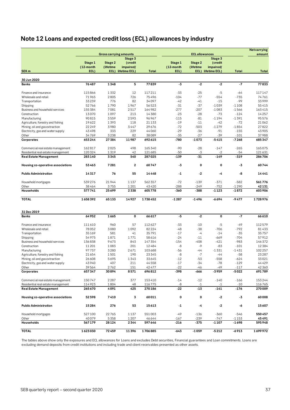# <span id="page-36-0"></span>**Note 12 Loans and expected credit loss (ECL) allowances by industry**

|                                    |           |                               |                         |              |           |                       |                    |              | <b>Netcarrying</b> |
|------------------------------------|-----------|-------------------------------|-------------------------|--------------|-----------|-----------------------|--------------------|--------------|--------------------|
|                                    |           | <b>Gross carrying amounts</b> |                         |              |           | <b>ECL allowances</b> |                    |              | amount             |
|                                    |           |                               | Stage 3                 |              |           |                       | Stage 3            |              |                    |
|                                    | Stage 1   | Stage 2                       | (credit                 |              | Stage 1   | Stage 2               | (credit            |              |                    |
|                                    | (12-month | (lifetime                     | impaired/               |              | (12-month | (lifetime             | impaired/          |              |                    |
| SEK <sub>m</sub>                   | ECL)      |                               | ECL) lifetime ECL)      | <b>Total</b> | ECL)      |                       | ECL) lifetime ECL) | <b>Total</b> | <b>Total</b>       |
| 30 Jun 2020                        |           |                               |                         |              |           |                       |                    |              |                    |
| <b>Banks</b>                       | 76487     | 1348                          | 5                       | 77839        | $-3$      | $-2$                  | $-2$               | $-7$         | 77833              |
|                                    |           |                               |                         |              |           |                       |                    |              |                    |
| Finance and insurance              | 115866    | 1332                          | 12                      | 117211       | $-33$     | $-25$                 | $-5$               | -64          | 117147             |
| Wholesale and retail               | 71965     | 2805                          | 726                     | 75496        | $-104$    | $-77$                 | $-554$             | $-735$       | 74761              |
| Transportation                     | 33239     | 776                           | 82                      | 34097        | $-42$     | $-41$                 | $-15$              | -99          | 33999              |
| Shipping                           | 52766     | 1790                          | 1967                    | 56523        | $-31$     | $-37$                 | $-1039$            | $-1108$      | 55415              |
| Business and household services    | 155 384   | 7081                          | 2517                    | 164982       | $-277$    | $-207$                | $-1083$            | $-1566$      | 163415             |
| Construction                       | 13070     | 1097                          | 213                     | 14 3 8 0     | $-23$     | $-28$                 | $-73$              | $-124$       | 14257              |
| Manufacturing                      | 90815     | 3559                          | 2593                    | 96967        | $-115$    | $-81$                 | $-1194$            | $-1391$      | 95576              |
| Agriculture, forestry and fishing  | 19622     | 1393                          | 118                     | 21 1 3 3     | $-19$     | $-11$                 | $-42$              | $-72$        | 21062              |
| Mining, oil and gas extraction     | 22 2 4 9  | 3980                          | 3447                    | 29676        | $-72$     | $-503$                | $-1279$            | $-1854$      | 27822              |
| Electricity, gas and water supply  | 43498     | 333                           | 229                     | 44060        | $-29$     | $-36$                 | $-91$              | $-155$       | 43905              |
| Other                              | 34769     | 3238                          | 82                      | 38089        | $-35$     | $-27$                 | -39                | $-101$       | 37988              |
| Corporates                         | 653244    | 27384                         | 11987                   | 692615       | -780      | $-1073$               | $-5415$            | $-7268$      | 685347             |
|                                    |           |                               |                         |              |           |                       |                    |              |                    |
| Commercial real estate management  | 162817    | 2025                          | 498                     | 165340       | $-90$     | $-28$                 | $-147$             | $-265$       | 165075             |
| Residential real estate management | 120 324   | 1319                          | 42                      | 121685       | $-50$     | $-3$                  | $-2$               | -54          | 121631             |
| <b>Real Estate Management</b>      | 283140    | 3345                          | 540                     | 287025       | $-139$    | $-31$                 | $-149$             | $-319$       | 286706             |
| Housing co-operative associations  | 53463     | 7281                          | $\overline{\mathbf{c}}$ | 60747        | -3        | $\mathbf 0$           | 0                  | $-3$         | 60744              |
| <b>Public Administration</b>       | 14317     | 76                            | 55                      | 14448        | -1        | -2                    | -4                 | -8           | 14441              |
| Household mortgages                | 539276    | 21944                         | 1137                    | 562357       | $-72$     | $-139$                | $-371$             | $-582$       | 561776             |
| Other                              | 38464     | 3755                          | 1201                    | 43420        | $-288$    | $-249$                | $-752$             | $-1290$      | 42131              |
| Households                         | 577741    | 25699                         | 2338                    | 605778       | -360      | $-388$                | $-1123$            | -1872        | 603906             |
|                                    |           |                               |                         |              |           |                       |                    |              |                    |
| <b>TOTAL</b>                       | 1658392   | 65133                         | 14927                   | 1738452      | $-1287$   | $-1496$               | $-6694$            | -9477        | 1728976            |
| 31 Dec 2019                        |           |                               |                         |              |           |                       |                    |              |                    |
| <b>Banks</b>                       | 64952     | 1665                          | $\mathbf 0$             | 66617        | $-5$      | -2                    | 0                  | $-7$         | 66610              |
| Finance and insurance              | 111610    | 960                           | 57                      | 112627       | $-33$     | $-10$                 | $-5$               | $-49$        | 112579             |
| Wholesale and retail               | 78052     | 3080                          | 1092                    | 82224        | $-48$     | -38                   | $-706$             | $-792$       | 81433              |
|                                    |           |                               | 41                      | 35791        | $-17$     | $-4$                  | $-14$              | $-35$        |                    |
| Transportation                     | 35169     | 581                           |                         |              |           |                       |                    |              | 35757              |
| Shipping                           | 54975     | 1871                          | 1771                    | 58616        | $-24$     | $-11$                 | $-669$             | $-704$       | 57912              |
| Business and household services    | 136838    | 9673                          | 843                     | 147354       | $-154$    | $-408$                | $-421$             | $-983$       | 146372             |
| Construction                       | 11 201    | 1083                          | 201                     | 12484        | -8        | $-9$                  | $-83$              | $-101$       | 12384              |
| Manufacturing                      | 97737     | 3280                          | 2671                    | 103688       | $-56$     | -44                   | $-1331$            | $-1431$      | 102 257            |
| Agriculture, forestry and fishing  | 21 654    | 1501                          | 190                     | 23345        | -8        | $-7$                  | -44                | $-58$        | 23 28 7            |
| Mining, oil and gas extraction     | 26 608    | 5695                          | 1343                    | 33645        | $-12$     | $-53$                 | $-558$             | $-624$       | 33021              |
| Electricity, gas and water supply  | 43940     | 407                           | 211                     | 44558        | $-17$     | $-34$                 | $-78$              | $-129$       | 44429              |
| Other                              | 39564     | 2762                          | 151                     | 42477        | $-22$     | -46                   | -49                | $-117$       | 42 360             |
| Corporates                         | 657347    | 30894                         | 8571                    | 696812       | -398      | -666                  | -3959              | -5022        | 691789             |
| Commercial real estate management  | 150747    | 2287                          | 377                     | 153410       | $-14$     | $-12$                 | $-140$             | $-166$       | 153244             |
| Residential real estate management | 114923    | 1804                          | 48                      | 116775       | -8        | $-1$                  | $-1$               | -10          | 116765             |
| <b>Real Estate Management</b>      | 265 670   | 4091                          | 425                     | 270186       | -22       | $-13$                 | $-141$             | $-176$       | 270009             |
| Housing co-operative associations  | 52598     | 7410                          | 3                       | 60011        | 0         | 0                     | $-2$               | -3           | 60008              |
|                                    |           |                               |                         |              |           |                       |                    |              |                    |
| <b>Public Administration</b>       | 15284     | 276                           | 53                      | 15613        | $-1$      | -4                    | $-2$               | -6           | 15607              |
| Household mortgages                | 527100    | 22765                         | 1137                    | 551003       | $-49$     | $-136$                | -360               | $-546$       | 550 457            |
| Other                              | 40079     | 5358                          | 1207                    | 46644        | $-167$    | $-239$                | $-747$             | $-1153$      | 45 491             |
| Households                         | 567179    | 28 1 24                       | 2344                    | 597646       | $-216$    | $-375$                | -1107              | -1698        | 595948             |
| <b>TOTAL</b>                       | 1623030   | 72459                         | 11396                   | 1706885      | $-643$    | -1059                 | $-5212$            | $-6913$      | 1699972            |

The tables above show only the exposures and ECL allowances for Loans and excludes Debt securities, Financial guarantees and Loan commitments. Loans are excluding demand deposits from credit institutions and including trade and client receivables presented as other assets.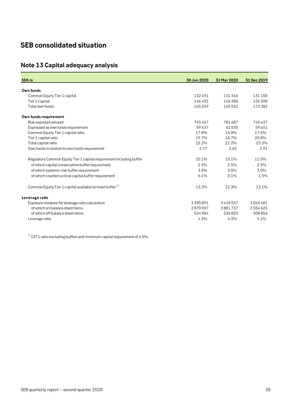# <span id="page-37-0"></span>**SEB consolidated situation**

# <span id="page-37-1"></span>**Note 13 Capital adequacy analysis**

| <b>SEK m</b>                                                         | 30 Jun 2020 | 31 Mar 2020 | 31 Dec 2019 |
|----------------------------------------------------------------------|-------------|-------------|-------------|
| Own funds                                                            |             |             |             |
|                                                                      |             |             |             |
| Common Equity Tier 1 capital                                         | 132491      | 131346      | 131155      |
| Tier 1 capital                                                       | 146492      | 146388      | 155398      |
| Total own funds                                                      | 165259      | 165552      | 173382      |
| Own funds requirement                                                |             |             |             |
| Risk exposure amount                                                 | 745457      | 781687      | 745637      |
| Expressed as own funds requirement                                   | 59637       | 62535       | 59651       |
| Common Equity Tier 1 capital ratio                                   | 17.8%       | 16.8%       | 17.6%       |
| Tier 1 capital ratio                                                 | 19.7%       | 18.7%       | 20.8%       |
| Total capital ratio                                                  | 22.2%       | 21.2%       | 23.3%       |
| Own funds in relation to own funds requirement                       | 2.77        | 2.65        | 2.91        |
| Regulatory Common Equity Tier 1 capital requirement including buffer | 10.1%       | 10.1%       | 11.5%       |
| of which capital conservation buffer requirement                     | 2.5%        | 2.5%        | 2.5%        |
| of which systemic risk buffer requirement                            | 3.0%        | 3.0%        | 3.0%        |
| of which countercyclical capital buffer requirement                  | 0.1%        | 0.1%        | 1.5%        |
| Common Equity Tier 1 capital available to meet buffer <sup>1)</sup>  | 13.3%       | 12.3%       | 13.1%       |
| Leverage ratio                                                       |             |             |             |
| Exposure measure for leverage ratio calculation                      | 3395891     | 3418557     | 3063481     |
| of which on balance sheet items                                      | 2870907     | 2881737     | 2554625     |
| of which off balance sheet items                                     | 524984      | 536820      | 508856      |
| Leverage ratio                                                       | 4.3%        | 4.3%        | 5.1%        |
|                                                                      |             |             |             |

 $1)$  CET1 ratio excluding buffers and minimum capital requirement of 4.5%.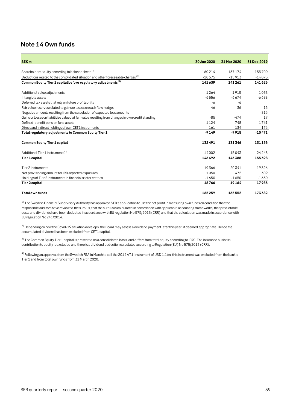# <span id="page-38-0"></span>**Note 14 Own funds**

| <b>SEK m</b>                                                                                      | 30 Jun 2020 | 31 Mar 2020 | 31 Dec 2019 |
|---------------------------------------------------------------------------------------------------|-------------|-------------|-------------|
|                                                                                                   |             |             |             |
| Shareholders equity according to balance sheet <sup>1)</sup>                                      | 160214      | 157174      | 155700      |
| Deductions related to the consolidated situation and other foreseeable charges <sup>2)</sup>      | $-18575$    | $-15913$    | $-14075$    |
| Common Equity Tier 1 capital before regulatory adjustments <sup>3)</sup>                          | 141639      | 141 261     | 141626      |
| Additional value adjustments                                                                      | $-1264$     | $-1915$     | $-1033$     |
| Intangible assets                                                                                 | $-6556$     | $-6674$     | $-6688$     |
| Deferred tax assets that rely on future profitability                                             | -6          | -6          |             |
| Fair value reserves related to gains or losses on cash flow hedges                                | 46          | 36          | $-15$       |
| Negative amounts resulting from the calculation of expected loss amounts                          |             |             | $-816$      |
| Gains or losses on liabilities valued at fair value resulting from changes in own credit standing | $-85$       | $-474$      | 19          |
| Defined-benefit pension fund assets                                                               | $-1124$     | $-748$      | $-1761$     |
| Direct and indirect holdings of own CET1 instruments                                              | $-161$      | $-134$      | $-176$      |
| Total regulatory adjustments to Common Equity Tier 1                                              | $-9149$     | $-9915$     | $-10471$    |
| <b>Common Equity Tier 1 capital</b>                                                               | 132491      | 131346      | 131 155     |
| Additional Tier 1 instruments <sup>4)</sup>                                                       | 14002       | 15043       | 24243       |
| Tier 1 capital                                                                                    | 146492      | 146388      | 155398      |
| Tier 2 instruments                                                                                | 19366       | 20341       | 19326       |
| Net provisioning amount for IRB-reported exposures                                                | 1050        | 472         | 309         |
| Holdings of Tier 2 instruments in financial sector entities                                       | $-1650$     | $-1650$     | $-1650$     |
| Tier 2 capital                                                                                    | 18766       | 19164       | 17985       |
| <b>Total own funds</b>                                                                            | 165259      | 165552      | 173382      |

 $1)$  The Swedish Financial Supervisory Authority has approved SEB's application to use the net profit in measuring own funds on condition that the responsible auditors have reviewed the surplus, that the surplus is calculated in accordance with applicable accounting frameworks, that predictable costs and dividends have been deducted in accordance with EU regulation No 575/2013 (CRR) and that the calculation was made in accordance with EU regulation No 241/2014.

 $^{2)}$  Depending on how the Covid-19 situation develops, the Board may assess a dividend payment later this year, if deemed appropriate. Hence the accumulated dividend has been excluded from CET1 capital.

<sup>3)</sup> The Common Equity Tier 1 capital is presented on a consolidated basis, and differs from total equity according to IFRS. The insurance business contribution to equity is excluded and there is a dividend deduction calculated according to Regulation (EU) No 575/2013 (CRR).

<sup>4)</sup> Following an approval from the Swedish FSA in March to call the 2014 AT1-instrument of USD 1.1bn, this instrument was excluded from the bank's Tier 1 and from total own funds from 31 March 2020.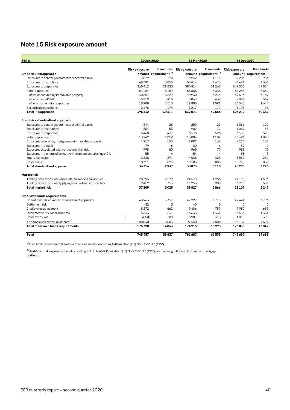# <span id="page-39-0"></span>**Note 15 Risk exposure amount**

| SEK <sub>m</sub>                                                  |                     | 30 Jun 2020                      |                     | 31 Mar 2020                      | 31 Dec 2019         |                                  |  |
|-------------------------------------------------------------------|---------------------|----------------------------------|---------------------|----------------------------------|---------------------|----------------------------------|--|
|                                                                   | <b>Riskexposure</b> | Own funds                        | <b>Riskexposure</b> | Own funds                        | <b>Riskexposure</b> | Own funds                        |  |
| Credit risk IRB approach                                          |                     | amount requirement <sup>1)</sup> |                     | amount requirement <sup>1)</sup> |                     | amount requirement <sup>1)</sup> |  |
| Exposures to central governments or central banks                 | 14879               | 1190                             | 13942               | 1115                             | 12 2 8 3            | 983                              |  |
| Exposures to institutions                                         | 48191               | 3855                             | 58414               | 4673                             | 54421               | 4354                             |  |
| Exposures to corporates                                           | 365412              | 29233                            | 390814              | 31 265                           | 369055              | 29524                            |  |
| Retail exposures                                                  | 64484               | 5159                             | 66683               | 5335                             | 67255               | 5380                             |  |
| of which secured by immovable property                            | 40357               | 3229                             | 40 9 30             | 3274                             | 39616               | 3169                             |  |
| of which retail SME                                               | 5219                | 418                              | 5867                | 469                              | 7094                | 567                              |  |
| of which other retail exposures                                   | 18908               | 1513                             | 19885               | 1591                             | 20546               | 1644                             |  |
| Securitisation positions                                          | 2176                | 174                              | 2217                | 177                              | 1195                | 96                               |  |
| <b>Total IRB approach</b>                                         | 495142              | 39611                            | 532071              | 42566                            | 504 210             | 40337                            |  |
| Credit risk standardised approach                                 |                     |                                  |                     |                                  |                     |                                  |  |
| Exposures to central governments or central banks                 | 344                 | 28                               | 259                 | 21                               | 1361                | 109                              |  |
| Exposures to institutions                                         | 664                 | 53                               | 902                 | 72                               | 1057                | 85                               |  |
| Exposures to corporates                                           | 5468                | 437                              | 6576                | 526                              | 6505                | 520                              |  |
| Retail exposures                                                  | 13242               | 1059                             | 13804               | 1104                             | 13691               | 1095                             |  |
| Exposures secured by mortgages on immovable property              | 1917                | 153                              | 2092                | 167                              | 2278                | 182                              |  |
| Exposures in default                                              | 79                  | 6                                | 80                  | 6                                | 82                  | $\overline{7}$                   |  |
| Exposures associated with particularly high risk                  | 998                 | 80                               | 963                 | 77                               | 933                 | 75                               |  |
| Exposures in the form of collective investment undertakings (CIU) | 55                  | 4                                | 54                  | 4                                | 58                  | 5                                |  |
| Equity exposures                                                  | 3638                | 291                              | 4038                | 323                              | 3589                | 287                              |  |
| Other items                                                       | 10311               | 825                              | 10105               | 808                              | 10735               | 859                              |  |
| Total standardised approach                                       | 36716               | 2937                             | 38873               | 3110                             | 40290               | 3223                             |  |
| Marketrisk                                                        |                     |                                  |                     |                                  |                     |                                  |  |
| Trading book exposures where internal models are applied          | 28396               | 2272                             | 24573               | 1966                             | 21 1 9 5            | 1696                             |  |
| Trading book exposures applying standardised approaches           | 9412                | 753                              | 11255               | 900                              | 6913                | 553                              |  |
| <b>Total market risk</b>                                          | 37809               | 3025                             | 35827               | 2866                             | 28 10 7             | 2249                             |  |
| Other own funds requirements                                      |                     |                                  |                     |                                  |                     |                                  |  |
| Operational risk advanced measurement approach                    | 46963               | 3757                             | 47227               | 3778                             | 47444               | 3796                             |  |
| Settlement risk                                                   | 32                  | 3                                | 40                  | 3                                | $\Omega$            | $\Omega$                         |  |
| Credit value adjustment                                           | 8272                | 662                              | 9486                | 759                              | 7932                | 635                              |  |
| Investment in insurance business                                  | 16633               | 1331                             | 16633               | 1331                             | 16633               | 1331                             |  |
| Other exposures                                                   | 3850                | 308                              | 3981                | 318                              | 4870                | 390                              |  |
| Additional risk exposure amount <sup>2)</sup>                     | 100040              | 8003                             | 97550               | 7804                             | 96151               | 7692                             |  |
| Total other own funds requirements                                | 175790              | 14063                            | 174916              | 13993                            | 173030              | 13842                            |  |
| Total                                                             | 745457              | 59637                            | 781687              | 62535                            | 745637              | 59651                            |  |

 $1)$  Own funds requirement 8% of risk exposure amount according to Regulation (EU) No 575/2013 (CRR).

 $^{2)}$  Additional risk exposure amount according to Article 458, Regulation (EU) No 575/2013 (CRR), for risk-weight floors in the Swedish mortgage portfolio.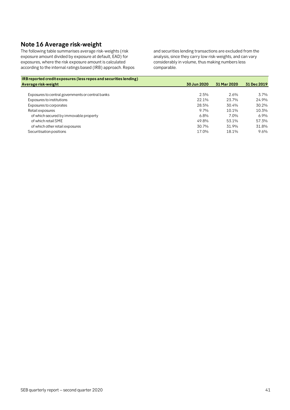# <span id="page-40-0"></span>**Note 16 Average risk-weight**

The following table summarises average risk-weights (risk exposure amount divided by exposure at default, EAD) for exposures, where the risk exposure amount is calculated according to the internal ratings based (IRB) approach. Repos and securities lending transactions are excluded from the analysis, since they carry low risk-weights, and can vary considerably in volume, thus making numbers less comparable.

| IRB reported credit exposures (less repos and securities lending) |             |             |             |
|-------------------------------------------------------------------|-------------|-------------|-------------|
| Average risk-weight                                               | 30 Jun 2020 | 31 Mar 2020 | 31 Dec 2019 |
|                                                                   |             |             |             |
| Exposures to central governments or central banks                 | 2.5%        | 2.6%        | 3.7%        |
| Exposures to institutions                                         | 22.1%       | 23.7%       | 24.9%       |
| Exposures to corporates                                           | 28.5%       | 30.4%       | 30.2%       |
| Retail exposures                                                  | 9.7%        | 10.1%       | 10.3%       |
| of which secured by immovable property                            | 6.8%        | 7.0%        | 6.9%        |
| of which retail SME                                               | 49.8%       | 53.1%       | 57.3%       |
| of which other retail exposures                                   | 30.7%       | 31.9%       | 31.8%       |
| Securitisation positions                                          | 17.0%       | 18.1%       | 9.6%        |
|                                                                   |             |             |             |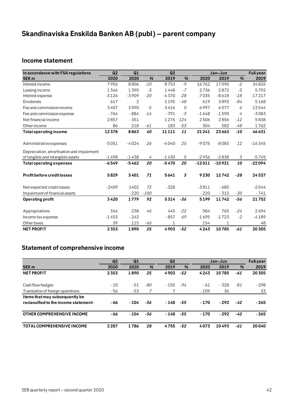# <span id="page-41-0"></span>**Skandinaviska Enskilda Banken AB (publ) – parent company**

# <span id="page-41-1"></span>**Income statement**

| In accordance with FSA regulations        | Q2      | Q1      |        | Q2           |                |          | Jan-Jun  |       | <b>Full year</b> |
|-------------------------------------------|---------|---------|--------|--------------|----------------|----------|----------|-------|------------------|
| <b>SEK m</b>                              | 2020    | 2020    | %      | 2019         | %              | 2020     | 2019     | %     | 2019             |
| Interest income                           | 7956    | 8806    | $-10$  | 8753         | $-9$           | 16762    | 17090    | $-2$  | 34826            |
| Leasing income                            | 1346    | 1390    | $-3$   | 1448         | $-7$           | 2736     | 2872     | $-5$  | 5792             |
| Interest expense                          | $-3126$ | $-3909$ | $-20$  | $-4370$      | $-28$          | $-7035$  | $-8618$  | $-18$ | $-17217$         |
| <b>Dividends</b>                          | 617     | 2       |        | 1195         | $-48$          | 619      | 3893     | -84   | 5168             |
| Fee and commission income                 | 3407    | 3590    | $-5$   | 3416         | 0              | 6997     | 6577     | 6     | 13544            |
| Fee and commission expense                | $-764$  | $-884$  | $-14$  | $-791$       | $-3$           | $-1648$  | $-1590$  | 4     | $-3083$          |
| Net financial income                      | 2857    | $-351$  |        | 1276         | 124            | 2506     | 2856     | $-12$ | 5838             |
| Other income                              | 86      | 218     | -61    | 183          | $-53$          | 304      | 582      | $-48$ | 1762             |
| <b>Total operating income</b>             | 12378   | 8863    | 40     | 11111        | 11             | 21241    | 23663    | $-10$ | 46631            |
|                                           |         |         |        |              |                |          |          |       |                  |
| Administrative expenses                   | $-5051$ | $-4024$ | 26     | $-4040$      | 25             | $-9075$  | $-8083$  | 12    | $-16345$         |
| Depreciation, amortisation and impairment |         |         |        |              |                |          |          |       |                  |
| of tangible and intangible assets         | $-1498$ | $-1438$ | 4      | $-1430$      | 5              | $-2936$  | $-2838$  | 3     | $-5749$          |
| <b>Total operating expenses</b>           | $-6549$ | $-5462$ | 20     | $-5470$      | 20             | $-12011$ | $-10921$ | 10    | $-22094$         |
| <b>Profit before credit losses</b>        | 5829    | 3401    | 71     | 5641         | $\overline{3}$ | 9230     | 12742    | $-28$ | 24537            |
| Net expected credit losses                | $-2409$ | $-1402$ | 72     | $-328$       |                | $-3811$  | $-685$   |       | $-2044$          |
| Impairment of financial assets            |         | $-220$  | $-100$ |              |                | $-220$   | $-315$   | $-30$ | $-741$           |
| <b>Operating profit</b>                   | 3420    | 1779    | 92     | 5314         | -36            | 5199     | 11742    | $-56$ | 21752            |
|                                           |         | 238     | 46     | 445          | $-22$          | 584      | 765      | $-24$ | 2694             |
| Appropriations                            | 346     |         |        |              |                |          |          |       |                  |
| Income tax expense                        | $-1453$ | $-242$  |        | $-857$       | 69             | $-1695$  | $-1723$  | $-2$  | $-4189$          |
| Other taxes                               | 39      | 115     | -66    | $\mathbf{1}$ |                | 154      | 1        |       | 48               |
| <b>NET PROFIT</b>                         | 2353    | 1890    | 25     | 4903         | $-52$          | 4243     | 10785    | -61   | 20 30 5          |

# <span id="page-41-2"></span>**Statement of comprehensive income**

|                                       | Q <sub>2</sub> | Q1     |     | Q <sub>2</sub> |               |        | Jan-Jun |               | <b>Full year</b> |
|---------------------------------------|----------------|--------|-----|----------------|---------------|--------|---------|---------------|------------------|
| <b>SEK m</b>                          | 2020           | 2020   | %   | 2019           | $\frac{9}{6}$ | 2020   | 2019    | $\frac{9}{6}$ | 2019             |
| <b>NET PROFIT</b>                     | 2353           | 1890   | 25  | 4903           | -52           | 4243   | 10785   | -61           | 20305            |
| Cash flow hedges                      | $-10$          | - 51   | -80 | $-155$         | -94           | - 61   | - 328   | -81           | $-298$           |
| Translation of foreign operations     | - 56           | - 53   |     |                |               | $-109$ | 36      |               | 33               |
| Items that may subsequently be        |                |        |     |                |               |        |         |               |                  |
| reclassified to the income statement: | - 66           | $-104$ | -36 | $-148$         | -55           | $-170$ | $-292$  | -42           | $-265$           |
| OTHER COMPREHENSIVE INCOME            | - 66           | $-104$ | -36 | $-148$         | -55           | $-170$ | $-292$  | -42           | $-265$           |
| <b>TOTAL COMPREHENSIVE INCOME</b>     | 2287           | 1786   | 28  | 4755           | -52           | 4073   | 10493   | -61           | 20040            |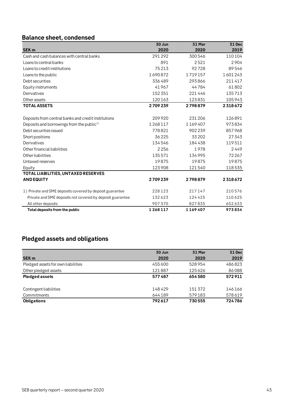# <span id="page-42-0"></span>**Balance sheet, condensed**

|                                                           | 30 Jun  | 31 Mar  | <b>31 Dec</b> |
|-----------------------------------------------------------|---------|---------|---------------|
| <b>SEK m</b>                                              | 2020    | 2020    | 2019          |
| Cash and cash balances with central banks                 | 291292  | 300546  | 110104        |
| Loans to central banks                                    | 891     | 2521    | 2904          |
| Loans to credit institutions                              | 75213   | 92728   | 89546         |
| Loans to the public                                       | 1690872 | 1719157 | 1601243       |
| Debt securities                                           | 336489  | 293866  | 211417        |
| Equity instruments                                        | 41967   | 44784   | 61802         |
| Derivatives                                               | 152 351 | 221446  | 135713        |
| Other assets                                              | 120163  | 123831  | 105943        |
| <b>TOTAL ASSETS</b>                                       | 2709239 | 2798879 | 2318672       |
|                                                           |         |         |               |
| Deposits from central banks and credit institutions       | 209920  | 231 206 | 126891        |
| Deposits and borrowings from the public <sup>1)</sup>     | 1268117 | 1169407 | 973834        |
| Debt securities issued                                    | 778821  | 902239  | 857968        |
| Short positions                                           | 36225   | 33202   | 27343         |
| Derivatives                                               | 134546  | 184438  | 119511        |
| Other financial liabilities                               | 2256    | 1978    | 2449          |
| Other liabilities                                         | 135571  | 134995  | 72267         |
| Untaxed reserves                                          | 19875   | 19875   | 19875         |
| Equity                                                    | 123908  | 121540  | 118535        |
| TOTAL LIABILITIES, UNTAXED RESERVES                       |         |         |               |
| <b>AND EQUITY</b>                                         | 2709239 | 2798879 | 2318672       |
| 1) Private and SME deposits covered by deposit guarantee  | 228123  | 217147  | 210576        |
| Private and SME deposits not covered by deposit guarantee | 132623  | 124425  | 110625        |
| All other deposits                                        | 907370  | 827835  | 652633        |
| Total deposits from the public                            | 1268117 | 1169407 | 973834        |

# <span id="page-42-1"></span>**Pledged assets and obligations**

|                                    | 30 Jun | 31 Mar | <b>31 Dec</b> |
|------------------------------------|--------|--------|---------------|
| <b>SEK m</b>                       | 2020   | 2020   | 2019          |
| Pledged assets for own liabilities | 455600 | 528954 | 486823        |
| Other pledged assets               | 121887 | 125626 | 86088         |
| <b>Pledged assets</b>              | 577487 | 654580 | 572911        |
| Contingent liabilities             | 148429 | 151372 | 146166        |
| Commitments                        | 644189 | 579183 | 578619        |
| <b>Obligations</b>                 | 792617 | 730555 | 724786        |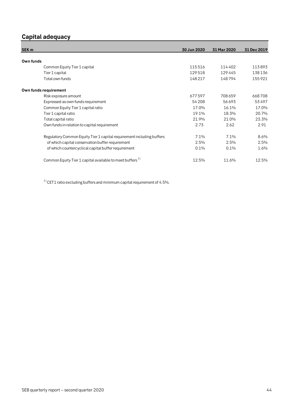# <span id="page-43-0"></span>**Capital adequacy**

| SEK <sub>m</sub>                                                      | 30 Jun 2020 | 31 Mar 2020 | 31 Dec 2019 |
|-----------------------------------------------------------------------|-------------|-------------|-------------|
|                                                                       |             |             |             |
| Own funds                                                             |             |             |             |
| Common Equity Tier 1 capital                                          | 115516      | 114402      | 113893      |
| Tier 1 capital                                                        | 129518      | 129445      | 138136      |
| Total own funds                                                       | 148217      | 148794      | 155921      |
| Own funds requirement                                                 |             |             |             |
| Risk exposure amount                                                  | 677597      | 708659      | 668708      |
| Expressed as own funds requirement                                    | 54 208      | 56693       | 53497       |
| Common Equity Tier 1 capital ratio                                    | 17.0%       | 16.1%       | 17.0%       |
| Tier 1 capital ratio                                                  | 19.1%       | 18.3%       | 20.7%       |
| Total capital ratio                                                   | 21.9%       | 21.0%       | 23.3%       |
| Own funds in relation to capital requirement                          | 2.73        | 2.62        | 2.91        |
| Regulatory Common Equity Tier 1 capital requirement including buffers | 7.1%        | 7.1%        | 8.6%        |
| of which capital conservation buffer requirement                      | 2.5%        | 2.5%        | 2.5%        |
| of which countercyclical capital buffer requirement                   | 0.1%        | 0.1%        | 1.6%        |
| Common Equity Tier 1 capital available to meet buffers <sup>1)</sup>  | 12.5%       | 11.6%       | 12.5%       |

 $1)$  CET1 ratio excluding buffers and minimum capital requirement of 4.5%.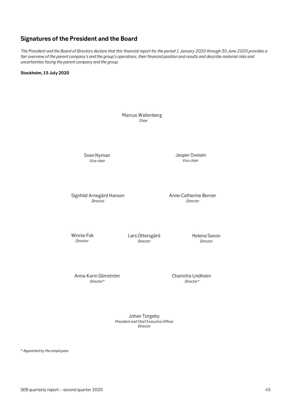# <span id="page-44-1"></span><span id="page-44-0"></span>**Signatures of the President and the Board**

*The President and the Board of Directors declare that this financial report for the period 1 January 2020 through 30 June 2020 provides a fair overview of the parent company's and the group's operations, their financial position and results and describe material risks and uncertainties facing the parent company and the group.*

**Stockholm, 15 July 2020**



Johan Torgeby *President and Chief Executive Officer Director*

\* *Appointed by the employees*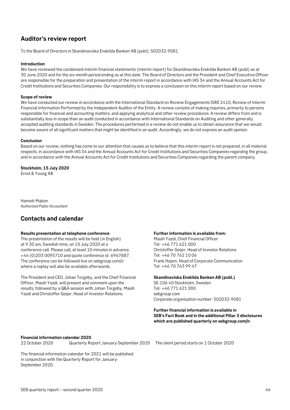# **Auditor's review report**

To the Board of Directors in Skandinaviska Enskilda Banken AB (publ), 502032-9081

#### **Introduction**

We have reviewed the condensed interim financial statements (interim report) for Skandinaviska Enskilda Banken AB (publ) as at 30 June 2020 and for the six-month period ending as at this date. The Board of Directors and the President and Chief Executive Officer are responsible for the preparation and presentation of the interim report in accordance with IAS 34 and the Annual Accounts Act for Credit Institutions and Securities Companies. Our responsibility is to express a conclusion on this interim report based on our review.

#### **Scope of review**

We have conducted our review in accordance with the International Standard on Review Engagements ISRE 2410, Review of Interim Financial Information Performed by the Independent Auditor of the Entity. A review consists of making inquiries, primarily to persons responsible for financial and accounting matters, and applying analytical and other review procedures. A review differs from and is substantially less in scope than an audit conducted in accordance with International Standards on Auditing and other generally accepted auditing standards in Sweden. The procedures performed in a review do not enable us to obtain assurance that we would become aware of all significant matters that might be identified in an audit. Accordingly, we do not express an audit opinion.

#### **Conclusion**

Based on our review, nothing has come to our attention that causes us to believe that this interim report is not prepared, in all material respects, in accordance with IAS 34 and the Annual Accounts Act for Credit Institutions and Securities Companies regarding the group, and in accordance with the Annual Accounts Act for Credit Institutions and Securities Companies regarding the parent company.

**Stockholm, 15 July 2020** Ernst & Young AB

Hamish Mabon *Authorised Public Accountant*

### <span id="page-45-0"></span>**Contacts and calendar**

#### **Results presentation at telephone conference**

The presentation of the results will be held (in English) at 9.30 am, Swedish time, on 15 July 2020 at a conference call. Please call, at least 10 minutes in advance, +44 (0)203 0095710 and quote conference id: 6967887. The conference can be followed live on sebgroup.com/ir where a replay will also be available afterwards.

The President and CEO, Johan Torgeby, and the Chief Financial Officer, Masih Yazdi, will present and comment upon the results, followed by a Q&A session with Johan Torgeby, Masih Yazdi and Christoffer Geijer, Head of Investor Relations.

#### **Further information is available from:**

Masih Yazdi, Chief Financial Officer Tel: +46 771 621 000 Christoffer Geijer, Head of Investor Relations Tel: +46 70 762 10 06 Frank Hojem, Head of Corporate Communication Tel: +46 70 763 99 47

#### **Skandinaviska Enskilda Banken AB (publ.)**

SE-106 40 Stockholm, Sweden Tel: +46 771 621 000 sebgroup.com Corporate organisation number: 502032-9081

#### **Further financial information is available in SEB's Fact Book and in the additional Pillar 3 disclosures which are published quarterly on sebgroup.com/ir.**

#### **Financial information calendar 2020**

22 October 2020 Quarterly Report January-September 2020 The silent period starts on 1 October 2020

The financial information calendar for 2021 will be published in conjunction with the Quarterly Report for January-September 2020.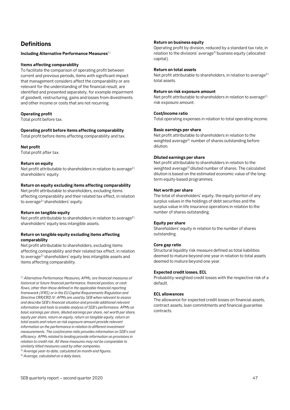# <span id="page-46-0"></span>**Definitions**

**Including Alternative Performance Measures**1)

#### **Items affecting comparability**

To facilitate the comparison of operating profit between current and previous periods, items with significant impact that management considers affect the comparability or are relevant for the understanding of the financial result, are identified and presented separately, for example impairment of goodwill, restructuring, gains and losses from divestments and other income or costs that are not recurring.

#### **Operating profit**

Total profit before tax.

#### **Operating profit before items affecting comparability**

Total profit before items affecting comparability and tax.

#### **Net profit**

Total profit after tax.

#### **Return on equity**

Net profit attributable to shareholders in relation to average<sup>2)</sup> shareholders' equity.

#### **Return on equity excluding items affecting comparability**

Net profit attributable to shareholders, excluding items affecting comparability and their related tax effect, in relation to average<sup>2)</sup> shareholders' equity.

#### **Return on tangible equity**

Net profit attributable to shareholders in relation to average<sup>2)</sup> shareholders' equity less intangible assets.

#### **Return on tangible equity excluding items affecting comparability**

Net profit attributable to shareholders, excluding items affecting comparability and their related tax effect, in relation to average<sup>2)</sup> shareholders' equity less intangible assets and items affecting comparability.

1) *Alternative Performance Measures, APMs, are financial measures of historical or future financial performance, financial position, or cash flows, other than those defined in the applicable financial reporting framework (IFRS) or in the EU Capital Requirements Regulation and Directive CRR/CRD IV. APMs are used by SEB when relevant to assess and describe SEB's financial situation and provide additional relevant information and tools to enable analysis of SEB's performance. APMs on basic earnings per share, diluted earnings per share, net worth per share, equity per share, return on equity, return on tangible equity, return on total assets and return on risk exposure amount provide relevant information on the performance in relation to different investment measurements. The cost/income ratio provides information on SEB's cost efficiency. APMs related to lending provide information on provisions in relation to credit risk. All these measures may not be comparable to similarly titled measures used by other companies.* 

2)*Average year-to-date, calculated on month-end figures.*

3)*Average, calculated on a daily basis.*

#### **Return on business equity**

Operating profit by division, reduced by a standard tax rate, in relation to the divisions' average<sup>2)</sup> business equity (allocated capital).

#### **Return on total assets**

Net profit attributable to shareholders, in relation to average<sup>2)</sup> total assets.

#### **Return on risk exposure amount**

Net profit attributable to shareholders in relation to average<sup>2)</sup> risk exposure amount.

#### **Cost/income ratio**

Total operating expenses in relation to total operating income.

#### **Basic earnings per share**

Net profit attributable to shareholders in relation to the weighted average<sup>3)</sup> number of shares outstanding before dilution.

#### **Diluted earnings per share**

Net profit attributable to shareholders in relation to the weighted average<sup>3)</sup> diluted number of shares. The calculated dilution is based on the estimated economic value of the longterm equity-based programmes.

#### **Net worth per share**

The total of shareholders' equity, the equity portion of any surplus values in the holdings of debt securities and the surplus value in life insurance operations in relation to the number of shares outstanding.

#### **Equity per share**

Shareholders' equity in relation to the number of shares outstanding.

#### **Core gap ratio**

Structural liquidity risk measure defined as total liabilities deemed to mature beyond one year in relation to total assets deemed to mature beyond one year.

#### **Expected credit losses, ECL**

Probability-weighted credit losses with the respective risk of a default.

#### **ECL allowances**

The allowance for expected credit losses on financial assets, contract assets, loan commitments and financial guarantee contracts.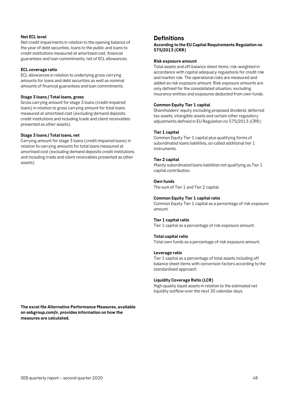#### **Net ECL level**

Net credit impairments in relation to the opening balance of the year of debt securities, loans to the public and loans to credit institutions measured at amortised cost, financial guarantees and loan commitments, net of ECL allowances.

#### **ECL coverage ratio**

ECL allowances in relation to underlying gross carrying amounts for loans and debt securities as well as nominal amounts of financial guarantees and loan commitments.

#### **Stage 3 loans / Total loans, gross**

Gross carrying amount for stage 3 loans (credit-impaired loans) in relation to gross carrying amount for total loans measured at amortised cost (excluding demand deposits credit institutions and including trade and client receivables presented as other assets).

#### **Stage 3 loans / Total loans, net**

Carrying amount for stage 3 loans (credit-impaired loans) in relation to carrying amounts for total loans measured at amortised cost (excluding demand deposits credit institutions and including trade and client receivables presented as other assets).

**The excel file Alternative Performance Measures, available on sebgroup.com/ir, provides information on how the measures are calculated.**

### **Definitions**

**According to the EU Capital Requirements Regulation no 575/2013 (CRR)**

#### **Risk exposure amount**

Total assets and off-balance sheet items, risk-weighted in accordance with capital adequacy regulations for credit risk and market risk. The operational risks are measured and added as risk exposure amount. Risk exposure amounts are only defined for the consolidated situation, excluding insurance entities and exposures deducted from own funds.

#### **Common Equity Tier 1 capital**

Shareholders' equity excluding proposed dividend, deferred tax assets, intangible assets and certain other regulatory adjustments defined in EU Regulation no 575/2013 (CRR).

#### **Tier 1 capital**

Common Equity Tier 1 capital plus qualifying forms of subordinated loans liabilities, so-called additional tier 1 instruments.

#### **Tier 2 capital**

Mainly subordinated loans liabilities not qualifying as Tier 1 capital contribution.

#### **Own funds**

The sum of Tier 1 and Tier 2 capital.

#### **Common Equity Tier 1 capital ratio**

Common Equity Tier 1 capital as a percentage of risk exposure amount.

#### **Tier 1 capital ratio**

Tier 1 capital as a percentage of risk exposure amount.

#### **Total capital ratio**

Total own funds as a percentage of risk exposure amount.

#### **Leverage ratio**

Tier 1 capital as a percentage of total assets including off balance sheet items with conversion factors according to the standardised approach.

#### **Liquidity Coverage Ratio (LCR)**

High-quality liquid assets in relation to the estimated net liquidity outflow over the next 30 calendar days.